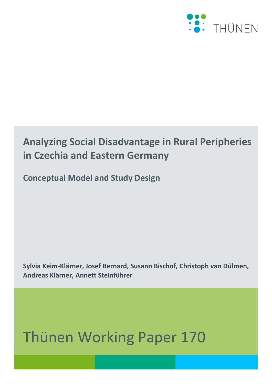

## **Analyzing Social Disadvantage in Rural Peripheries in Czechia and Eastern Germany**

**Conceptual Model and Study Design**

**Sylvia Keim-Klärner, Josef Bernard, Susann Bischof, Christoph van Dülmen, Andreas Klärner, Annett Steinführer**

# Thünen Working Paper 170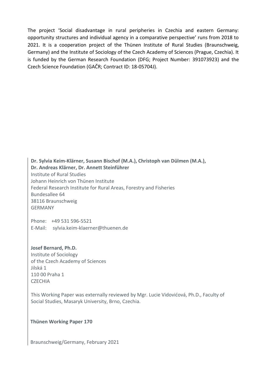The project 'Social disadvantage in rural peripheries in Czechia and eastern Germany: opportunity structures and individual agency in a comparative perspective' runs from 2018 to 2021. It is a cooperation project of the Thünen Institute of Rural Studies (Braunschweig, Germany) and the Institute of Sociology of the Czech Academy of Sciences (Prague, Czechia). It is funded by the German Research Foundation (DFG; Project Number: 391073923) and the Czech Science Foundation (GAČR; Contract ID: 18-05704J).

**Dr. Sylvia Keim-Klärner, Susann Bischof (M.A.), Christoph van Dülmen (M.A.), Dr. Andreas Klärner, Dr. Annett Steinführer** Institute of Rural Studies Johann Heinrich von Thünen Institute Federal Research Institute for Rural Areas, Forestry and Fisheries Bundesallee 64 38116 Braunschweig GERMANY

Phone: +49 531 596-5521 E-Mail: sylvia.keim-klaerner@thuenen.de

**Josef Bernard, Ph.D.** Institute of Sociology of the Czech Academy of Sciences Jilská 1 110 00 Praha 1 **CZECHIA** 

This Working Paper was externally reviewed by Mgr. Lucie Vidovićová, Ph.D., Faculty of Social Studies, Masaryk University, Brno, Czechia.

**Thünen Working Paper 170**

Braunschweig/Germany, February 2021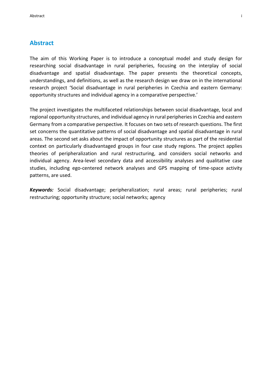#### <span id="page-2-0"></span>**Abstract**

The aim of this Working Paper is to introduce a conceptual model and study design for researching social disadvantage in rural peripheries, focusing on the interplay of social disadvantage and spatial disadvantage. The paper presents the theoretical concepts, understandings, and definitions, as well as the research design we draw on in the international research project 'Social disadvantage in rural peripheries in Czechia and eastern Germany: opportunity structures and individual agency in a comparative perspective.'

The project investigates the multifaceted relationships between social disadvantage, local and regional opportunity structures, and individual agency in rural peripheries in Czechia and eastern Germany from a comparative perspective. It focuses on two sets of research questions. The first set concerns the quantitative patterns of social disadvantage and spatial disadvantage in rural areas. The second set asks about the impact of opportunity structures as part of the residential context on particularly disadvantaged groups in four case study regions. The project applies theories of peripheralization and rural restructuring, and considers social networks and individual agency. Area-level secondary data and accessibility analyses and qualitative case studies, including ego-centered network analyses and GPS mapping of time-space activity patterns, are used.

*Keywords:* Social disadvantage; peripheralization; rural areas; rural peripheries; rural restructuring; opportunity structure; social networks; agency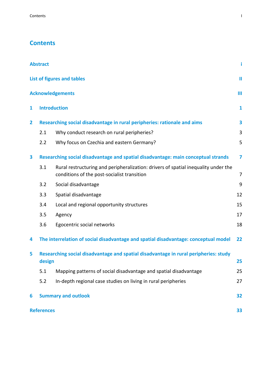## **Contents**

|                                                                                                     | <b>Abstract</b>                                                                   |                                                                                                                                   | i  |  |  |  |
|-----------------------------------------------------------------------------------------------------|-----------------------------------------------------------------------------------|-----------------------------------------------------------------------------------------------------------------------------------|----|--|--|--|
|                                                                                                     | List of figures and tables<br>Ш                                                   |                                                                                                                                   |    |  |  |  |
|                                                                                                     |                                                                                   | <b>Acknowledgements</b>                                                                                                           | Ш  |  |  |  |
| 1                                                                                                   | <b>Introduction</b>                                                               |                                                                                                                                   |    |  |  |  |
| $\overline{2}$                                                                                      | Researching social disadvantage in rural peripheries: rationale and aims          |                                                                                                                                   |    |  |  |  |
|                                                                                                     | 2.1                                                                               | Why conduct research on rural peripheries?                                                                                        | 3  |  |  |  |
|                                                                                                     | 2.2                                                                               | Why focus on Czechia and eastern Germany?                                                                                         | 5  |  |  |  |
| 3                                                                                                   | Researching social disadvantage and spatial disadvantage: main conceptual strands |                                                                                                                                   | 7  |  |  |  |
|                                                                                                     | 3.1                                                                               | Rural restructuring and peripheralization: drivers of spatial inequality under the<br>conditions of the post-socialist transition | 7  |  |  |  |
|                                                                                                     | 3.2                                                                               | Social disadvantage                                                                                                               | 9  |  |  |  |
|                                                                                                     | 3.3                                                                               | Spatial disadvantage                                                                                                              | 12 |  |  |  |
|                                                                                                     | 3.4                                                                               | Local and regional opportunity structures                                                                                         | 15 |  |  |  |
|                                                                                                     | 3.5                                                                               | Agency                                                                                                                            | 17 |  |  |  |
|                                                                                                     | 3.6                                                                               | Egocentric social networks                                                                                                        | 18 |  |  |  |
| 4                                                                                                   |                                                                                   | The interrelation of social disadvantage and spatial disadvantage: conceptual model                                               | 22 |  |  |  |
| Researching social disadvantage and spatial disadvantage in rural peripheries: study<br>5<br>design |                                                                                   |                                                                                                                                   | 25 |  |  |  |
|                                                                                                     | 5.1                                                                               | Mapping patterns of social disadvantage and spatial disadvantage                                                                  | 25 |  |  |  |
|                                                                                                     | 5.2                                                                               | In-depth regional case studies on living in rural peripheries                                                                     | 27 |  |  |  |
| 6                                                                                                   |                                                                                   | <b>Summary and outlook</b>                                                                                                        | 32 |  |  |  |
|                                                                                                     | <b>References</b><br>33                                                           |                                                                                                                                   |    |  |  |  |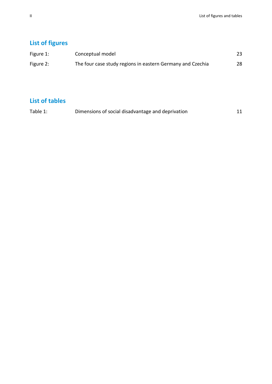## <span id="page-5-0"></span>**List of figures**

| Figure 1: | Conceptual model                                           | 23 |
|-----------|------------------------------------------------------------|----|
| Figure 2: | The four case study regions in eastern Germany and Czechia | 28 |

## **List of tables**

| Table 1: | Dimensions of social disadvantage and deprivation | 11 |
|----------|---------------------------------------------------|----|
|          |                                                   |    |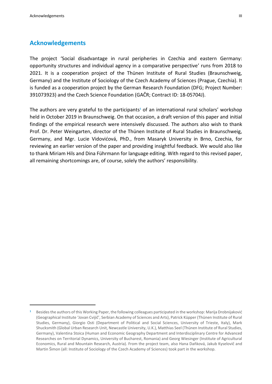$\overline{a}$ 

#### <span id="page-6-0"></span>**Acknowledgements**

The project 'Social disadvantage in rural peripheries in Czechia and eastern Germany: opportunity structures and individual agency in a comparative perspective' runs from 2018 to 2021. It is a cooperation project of the Thünen Institute of Rural Studies (Braunschweig, Germany) and the Institute of Sociology of the Czech Academy of Sciences (Prague, Czechia). It is funded as a cooperation project by the German Research Foundation (DFG; Project Number: 391073923) and the Czech Science Foundation (GAČR; Contract ID: 18-05704J).

The authors are very grateful to the participants**<sup>1</sup>** of an international rural scholars' workshop held in October 2019 in Braunschweig. On that occasion, a draft version of this paper and initial findings of the empirical research were intensively discussed. The authors also wish to thank Prof. Dr. Peter Weingarten, director of the Thünen Institute of Rural Studies in Braunschweig, Germany, and Mgr. Lucie Vidovićová, PhD., from Masaryk University in Brno, Czechia, for reviewing an earlier version of the paper and providing insightful feedback. We would also like to thank Miriam Hils and Dina Führmann for language editing. With regard to this revised paper, all remaining shortcomings are, of course, solely the authors' responsibility.

**<sup>1</sup>** Besides the authors of this Working Paper, the following colleagues participated in the workshop: Marija Drobnijaković (Geographical Institute 'Jovan Cvijič', Serbian Academy of Sciences and Arts), Patrick Küpper (Thünen Institute of Rural Studies, Germany), Giorgio Osti (Department of Political and Social Sciences, University of Trieste, Italy), Mark Shucksmith (Global Urban Research Unit, Newcastle University, U.K.), Matthias Seel (Thünen Institute of Rural Studies, Germany), Valentina Stoica (Human and Economic Geography Department and Interdisciplinary Centre for Advanced Researches on Territorial Dynamics, University of Bucharest, Romania) and Georg Wiesinger (Institute of Agricultural Economics, Rural and Mountain Research, Austria). From the project team, also Hana Daňková, Jakub Kyselovič and Martin Šimon (all: Institute of Sociology of the Czech Academy of Sciences) took part in the workshop.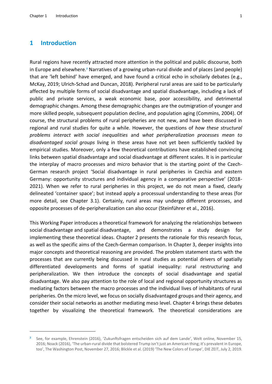#### <span id="page-8-0"></span>**1 Introduction**

 $\overline{a}$ 

Rural regions have recently attracted more attention in the political and public discourse, both in Europe and elsewhere.**<sup>2</sup>** Narratives of a growing urban-rural divide and of places (and people) that are 'left behind' have emerged, and have found a critical echo in scholarly debates (e.g., McKay, 2019; Ulrich-Schad and Duncan, 2018). Peripheral rural areas are said to be particularly affected by multiple forms of social disadvantage and spatial disadvantage, including a lack of public and private services, a weak economic base, poor accessibility, and detrimental demographic changes. Among these demographic changes are the outmigration of younger and more skilled people, subsequent population decline, and population aging (Commins, 2004). Of course, the structural problems of rural peripheries are not new, and have been discussed in regional and rural studies for quite a while. However, the questions of *how these structural problems interact with social inequalities* and *what peripheralization processes mean to disadvantaged social groups* living in these areas have not yet been sufficiently tackled by empirical studies. Moreover, only a few theoretical contributions have established convincing links between spatial disadvantage and social disadvantage at different scales. It is in particular the interplay of macro processes and micro behavior that is the starting point of the Czech-German research project 'Social disadvantage in rural peripheries in Czechia and eastern Germany: opportunity structures and individual agency in a comparative perspective' (2018- 2021). When we refer to rural peripheries in this project, we do not mean a fixed, clearly delineated 'container space'; but instead apply a processual understanding to these areas (for more detail, see Chapter 3.1). Certainly, rural areas may undergo different processes, and opposite processes of de-peripheralization can also occur (Steinführer et al., 2016).

This Working Paper introduces a theoretical framework for analyzing the relationships between social disadvantage and spatial disadvantage, and demonstrates a study design for implementing these theoretical ideas. Chapter 2 presents the rationale for this research focus, as well as the specific aims of the Czech-German comparison. In Chapter 3, deeper insights into major concepts and theoretical reasoning are provided. The problem statement starts with the processes that are currently being discussed in rural studies as potential drivers of spatially differentiated developments and forms of spatial inequality: rural restructuring and peripheralization. We then introduce the concepts of social disadvantage and spatial disadvantage. We also pay attention to the role of local and regional opportunity structures as mediating factors between the macro processes and the individual lives of inhabitants of rural peripheries. On the micro level, we focus on socially disadvantaged groups and their agency, and consider their social networks as another mediating meso level. Chapter 4 brings these debates together by visualizing the theoretical framework. The theoretical considerations are

**<sup>2</sup>** See, for example, Ehrenstein (2016), 'Zukunftsfragen entscheiden sich auf dem Lande', Welt online, November 15, 2016; Noack (2016), 'The urban-rural divide that bolstered Trump isn't just an American thing; it's prevalent in Europe, too', The Washington Post, November 27, 2016; Blickle et al. (2019) 'The New Colors of Europe', DIE ZEIT, July 2, 2019.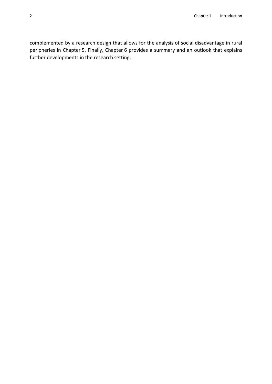complemented by a research design that allows for the analysis of social disadvantage in rural peripheries in Chapter 5. Finally, Chapter 6 provides a summary and an outlook that explains further developments in the research setting.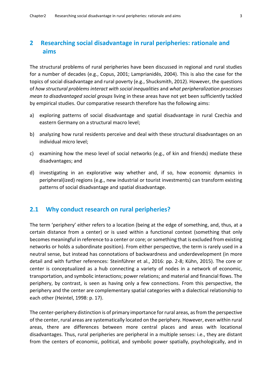## <span id="page-10-0"></span>**2 Researching social disadvantage in rural peripheries: rationale and aims**

The structural problems of rural peripheries have been discussed in regional and rural studies for a number of decades (e.g., Copus, 2001; Lamprianidēs, 2004). This is also the case for the topics of social disadvantage and rural poverty (e.g., Shucksmith, 2012). However, the questions of *how structural problems interact with social inequalities* and *what peripheralization processes mean to disadvantaged social groups* living in these areas have not yet been sufficiently tackled by empirical studies. Our comparative research therefore has the following aims:

- a) exploring patterns of social disadvantage and spatial disadvantage in rural Czechia and eastern Germany on a structural macro level;
- b) analyzing how rural residents perceive and deal with these structural disadvantages on an individual micro level;
- c) examining how the meso level of social networks (e.g., of kin and friends) mediate these disadvantages; and
- d) investigating in an explorative way whether and, if so, how economic dynamics in peripheral(ized) regions (e.g., new industrial or tourist investments) can transform existing patterns of social disadvantage and spatial disadvantage.

#### <span id="page-10-1"></span>**2.1 Why conduct research on rural peripheries?**

The term 'periphery' either refers to a location (being at the edge of something, and, thus, at a certain distance from a center) or is used within a functional context (something that only becomes meaningful in reference to a center or core; or something that is excluded from existing networks or holds a subordinate position). From either perspective, the term is rarely used in a neutral sense, but instead has connotations of backwardness and underdevelopment (in more detail and with further references: Steinführer et al., 2016: pp. 2-8; Kühn, 2015). The core or center is conceptualized as a hub connecting a variety of nodes in a network of economic, transportation, and symbolic interactions; power relations; and material and financial flows. The periphery, by contrast, is seen as having only a few connections. From this perspective, the periphery and the center are complementary spatial categories with a dialectical relationship to each other (Heintel, 1998: p. 17).

The center-periphery distinction is of primary importance for rural areas, as from the perspective of the center, rural areas are systematically located on the periphery. However, even within rural areas, there are differences between more central places and areas with locational disadvantages. Thus, rural peripheries are peripheral in a multiple senses: i.e., they are distant from the centers of economic, political, and symbolic power spatially, psychologically, and in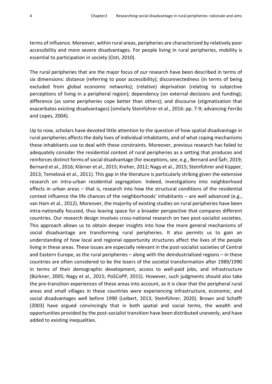terms of influence. Moreover, within rural areas, peripheries are characterized by relatively poor accessibility and more severe disadvantages. For people living in rural peripheries, mobility is essential to participation in society (Osti, 2010).

The rural peripheries that are the major focus of our research have been described in terms of six dimensions: distance (referring to poor accessibility); disconnectedness (in terms of being excluded from global economic networks); (relative) deprivation (relating to subjective perceptions of living in a peripheral region); dependency (on external decisions and funding); difference (as some peripheries cope better than others); and discourse (stigmatization that exacerbates existing disadvantages) (similarly Steinführer et al., 2016: pp. 7-9; advancing Ferrão and Lopes, 2004).

Up to now, scholars have devoted little attention to the question of how spatial disadvantage in rural peripheries affects the daily lives of individual inhabitants, and of what coping mechanisms these inhabitants use to deal with these constraints. Moreover, previous research has failed to adequately consider the residential context of rural peripheries as a setting that produces and reinforces distinct forms of social disadvantage (for exceptions,see, e.g., Bernard and Šafr, 2019; Bernard et al., 2016; Klärner et al., 2015; Kreher, 2012; Nagy et al., 2015; Steinführer and Küpper, 2013; Temelová et al., 2011). This gap in the literature is particularly striking given the extensive research on intra-urban residential segregation. Indeed, investigations into neighborhood effects in urban areas – that is, research into how the structural conditions of the residential context influence the life chances of the neighborhoods' inhabitants – are well advanced (e.g., van Ham et al., 2012). Moreover, the majority of existing studies on rural peripheries have been intra-nationally focused, thus leaving space for a broader perspective that compares different countries. Our research design involves cross-national research on two post-socialist societies. This approach allows us to obtain deeper insights into how the more general mechanisms of social disadvantage are transforming rural peripheries. It also permits us to gain an understanding of how local and regional opportunity structures affect the lives of the people living in these areas. These issues are especially relevant in the post-socialist societies of Central and Eastern Europe, as the rural peripheries – along with the deindustrialized regions – in these countries are often considered to be the losers of the societal transformation after 1989/1990 in terms of their demographic development, access to well-paid jobs, and infrastructure (Bürkner, 2005; Nagy et al., 2015; PoSCoPP, 2015). However, such judgments should also take the pre-transition experiences of these areas into account, as it is clear that the peripheral rural areas and small villages in these countries were experiencing infrastructure, economic, and social disadvantages well before 1990 (Leibert, 2013; Steinführer, 2020). Brown and Schafft (2003) have argued convincingly that in both spatial and social terms, the wealth and opportunities provided by the post-socialist transition have been distributed unevenly, and have added to existing inequalities.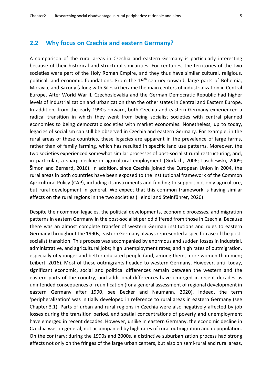#### <span id="page-12-0"></span>**2.2 Why focus on Czechia and eastern Germany?**

A comparison of the rural areas in Czechia and eastern Germany is particularly interesting because of their historical and structural similarities. For centuries, the territories of the two societies were part of the Holy Roman Empire, and they thus have similar cultural, religious, political, and economic foundations. From the 19<sup>th</sup> century onward, large parts of Bohemia, Moravia, and Saxony (along with Silesia) became the main centers of industrialization in Central Europe. After World War II, Czechoslovakia and the German Democratic Republic had higher levels of industrialization and urbanization than the other states in Central and Eastern Europe. In addition, from the early 1990s onward, both Czechia and eastern Germany experienced a radical transition in which they went from being socialist societies with central planned economies to being democratic societies with market economies. Nonetheless, up to today, legacies of socialism can still be observed in Czechia and eastern Germany. For example, in the rural areas of these countries, these legacies are apparent in the prevalence of large farms, rather than of family farming, which has resulted in specific land use patterns. Moreover, the two societies experienced somewhat similar processes of post-socialist rural restructuring, and, in particular, a sharp decline in agricultural employment (Gorlach, 2006; Laschewski, 2009; Šimon and Bernard, 2016). In addition, since Czechia joined the European Union in 2004, the rural areas in both countries have been exposed to the institutional framework of the Common Agricultural Policy (CAP), including its instruments and funding to support not only agriculture, but rural development in general. We expect that this common framework is having similar effects on the rural regions in the two societies (Heindl and Steinführer, 2020).

Despite their common legacies, the political developments, economic processes, and migration patterns in eastern Germany in the post-socialist period differed from those in Czechia. Because there was an almost complete transfer of western German institutions and rules to eastern Germany throughout the 1990s, eastern Germany always represented a specific case of the postsocialist transition. This process was accompanied by enormous and sudden losses in industrial, administrative, and agricultural jobs; high unemployment rates; and high rates of outmigration, especially of younger and better educated people (and, among them, more women than men; Leibert, 2016). Most of these outmigrants headed to western Germany. However, until today, significant economic, social and political differences remain between the western and the eastern parts of the country, and additional differences have emerged in recent decades as unintended consequences of reunification (for a general assessment of regional development in eastern Germany after 1990, see Becker and Naumann, 2020). Indeed, the term 'peripheralization' was initially developed in reference to rural areas in eastern Germany (see Chapter 3.1). Parts of urban and rural regions in Czechia were also negatively affected by job losses during the transition period, and spatial concentrations of poverty and unemployment have emerged in recent decades. However, unlike in eastern Germany, the economic decline in Czechia was, in general, not accompanied by high rates of rural outmigration and depopulation. On the contrary: during the 1990s and 2000s, a distinctive suburbanization process had strong effects not only on the fringes of the large urban centers, but also on semi-rural and rural areas,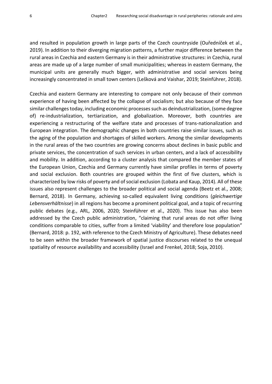and resulted in population growth in large parts of the Czech countryside (Ouředníček et al., 2019). In addition to their diverging migration patterns, a further major difference between the rural areas in Czechia and eastern Germany is in their administrative structures: in Czechia, rural areas are made up of a large number of small municipalities; whereas in eastern Germany, the municipal units are generally much bigger, with administrative and social services being increasingly concentrated in small town centers (Lešková and Vaishar, 2019; Steinführer, 2018).

Czechia and eastern Germany are interesting to compare not only because of their common experience of having been affected by the collapse of socialism; but also because of they face similar challengestoday, including economic processes such as deindustrialization, (some degree of) re-industrialization, tertiarization, and globalization. Moreover, both countries are experiencing a restructuring of the welfare state and processes of trans-nationalization and European integration. The demographic changes in both countries raise similar issues, such as the aging of the population and shortages of skilled workers. Among the similar developments in the rural areas of the two countries are growing concerns about declines in basic public and private services, the concentration of such services in urban centers, and a lack of accessibility and mobility. In addition, according to a cluster analysis that compared the member states of the European Union, Czechia and Germany currently have similar profiles in terms of poverty and social exclusion. Both countries are grouped within the first of five clusters, which is characterized by low risks of poverty and of social exclusion (Lobata and Kaup, 2014). All of these issues also represent challenges to the broader political and social agenda (Beetz et al., 2008; Bernard, 2018). In Germany, achieving so-called equivalent living conditions (*gleichwertige Lebensverhältnisse*) in all regions has become a prominent political goal, and a topic of recurring public debates (e.g., ARL, 2006, 2020; Steinführer et al., 2020). This issue has also been addressed by the Czech public administration, "claiming that rural areas do not offer living conditions comparable to cities, suffer from a limited 'viability' and therefore lose population" (Bernard, 2018: p. 192, with reference to the Czech Ministry of Agriculture). These debates need to be seen within the broader framework of spatial justice discourses related to the unequal spatiality of resource availability and accessibility (Israel and Frenkel, 2018; Soja, 2010).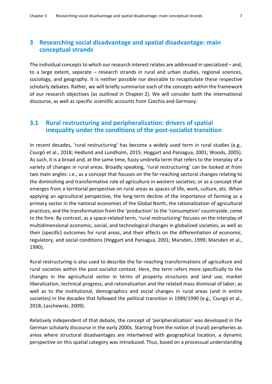#### <span id="page-14-0"></span>**3 Researching social disadvantage and spatial disadvantage: main conceptual strands**

The individual concepts to which our research interest relates are addressed in specialized – and, to a large extent, separate – research strands in rural and urban studies, regional sciences, sociology, and geography. It is neither possible nor desirable to recapitulate these respective scholarly debates. Rather, we will briefly summarize each of the concepts within the framework of our research objectives (as outlined in Chapter 2). We will consider both the international discourse, as well as specific scientific accounts from Czechia and Germany.

#### <span id="page-14-1"></span>**3.1 Rural restructuring and peripheralization: drivers of spatial inequality under the conditions of the post-socialist transition**

In recent decades, 'rural restructuring' has become a widely used term in rural studies (e.g., Csurgó et al., 2018; Hedlund and Lundholm, 2015; Hoggart and Paniagua, 2001; Woods, 2005). As such, it is a broad and, at the same time, fuzzy umbrella term that refers to the interplay of a variety of changes in rural areas. Broadly speaking, 'rural restructuring' can be looked at from two main angles: i.e., as a concept that focuses on the far-reaching sectoral changes relating to the diminishing and transformative role of agriculture in western societies; or as a concept that emerges from a territorial perspective on rural areas as spaces of life, work, culture, etc. When applying an agricultural perspective, the long-term decline of the importance of farming as a primary sector in the national economies of the Global North, the rationalization of agricultural practices, and the transformation from the 'production' to the 'consumption' countryside, come to the fore. By contrast, as a space-related term, 'rural restructuring' focuses on the interplay of multidimensional economic, social, and technological changes in globalized societies, as well as their (specific) outcomes for rural areas, and their effects on the differentiation of economic, regulatory, and social conditions (Hoggart and Paniagua, 2001; Marsden, 1999; Marsden et al., 1990).

Rural restructuring is also used to describe the far-reaching transformations of agriculture and rural societies within the post-socialist context. Here, the term refers more specifically to the changes in the agricultural sector in terms of property structures and land use, market liberalization, technical progress, and rationalization and the related mass dismissal of labor; as well as to the institutional, demographics and social changes in rural areas (and in entire societies) in the decades that followed the political transition in 1989/1990 (e.g., Csurgó et al., 2018; Laschewski, 2009).

Relatively independent of that debate, the concept of 'peripheralization' was developed in the German scholarly discourse in the early 2000s. Starting from the notion of (rural) peripheries as areas where structural disadvantages are intertwined with geographical location, a dynamic perspective on this spatial category was introduced. Thus, based on a processual understanding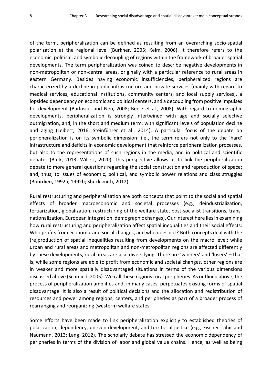of the term, peripheralization can be defined as resulting from an overarching socio-spatial polarization at the regional level (Bürkner, 2005; Keim, 2006). It therefore refers to the economic, political, and symbolic decoupling of regions within the framework of broader spatial developments. The term peripheralization was coined to describe negative developments in non-metropolitan or non-central areas, originally with a particular reference to rural areas in eastern Germany. Besides having economic insufficiencies, peripheralized regions are characterized by a decline in public infrastructure and private services (mainly with regard to medical services, educational institutions, community centers, and local supply services), a lopsided dependency on economic and political centers, and a decoupling from positive impulses for development (Barlösius and Neu, 2008; Beetz et al., 2008). With regard to demographic developments, peripheralization is strongly intertwined with age and socially selective outmigration, and, in the short and medium term, with significant levels of population decline and aging (Leibert, 2016; Steinführer et al., 2014). A particular focus of the debate on peripheralization is on its symbolic dimension: i.e., the term refers not only to the 'hard' infrastructure and deficits in economic development that reinforce peripheralization processes, but also to the representations of such regions in the media, and in political and scientific debates (Bürk, 2013; Willett, 2020). This perspective allows us to link the peripheralization debate to more general questions regarding the social construction and reproduction of space; and, thus, to issues of economic, political, and symbolic power relations and class struggles (Bourdieu, 1992a, 1992b; Shucksmith, 2012).

Rural restructuring and peripheralization are both concepts that point to the social and spatial effects of broader macroeconomic and societal processes (e.g., deindustrialization, tertiarization, globalization, restructuring of the welfare state, post-socialist transitions, transnationalization, European integration, demographic changes). Our interest here lies in examining how rural restructuring and peripheralization affect spatial inequalities and their social effects: Who profits from economic and social changes, and who does not? Both concepts deal with the (re)production of spatial inequalities resulting from developments on the macro level: while urban and rural areas and metropolitan and non-metropolitan regions are affected differently by these developments, rural areas are also diversifying. There are 'winners' and 'losers' – that is, while some regions are able to profit from economic and societal changes, other regions are in weaker and more spatially disadvantaged situations in terms of the various dimensions discussed above (Schmied, 2005). We call these regions rural peripheries. As outlined above, the process of peripheralization amplifies and, in many cases, perpetuates existing forms of spatial disadvantage. It is also a result of political decisions and the allocation and redistribution of resources and power among regions, centers, and peripheries as part of a broader process of rearranging and reorganizing (western) welfare states.

Some efforts have been made to link peripheralization explicitly to established theories of polarization, dependency, uneven development, and territorial justice (e.g., Fischer-Tahir and Naumann, 2013; Lang, 2012). The scholarly debate has stressed the economic dependency of peripheries in terms of the division of labor and global value chains. Hence, as well as being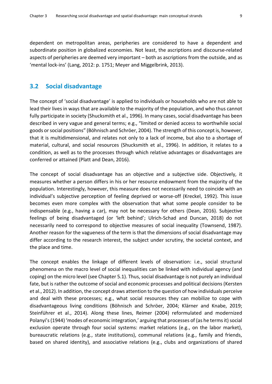dependent on metropolitan areas, peripheries are considered to have a dependent and subordinate position in globalized economies. Not least, the ascriptions and discourse-related aspects of peripheries are deemed very important – both as ascriptions from the outside, and as 'mental lock-ins' (Lang, 2012: p. 1751; Meyer and Miggelbrink, 2013).

#### <span id="page-16-0"></span>**3.2 Social disadvantage**

The concept of 'social disadvantage' is applied to individuals or households who are not able to lead their lives in ways that are available to the majority of the population, and who thus cannot fully participate in society (Shucksmith et al., 1996). In many cases, social disadvantage has been described in very vague and general terms; e.g., "limited or denied access to worthwhile social goods or social positions" (Böhnisch and Schröer, 2004). The strength of this concept is, however, that it is multidimensional, and relates not only to a lack of income, but also to a shortage of material, cultural, and social resources (Shucksmith et al., 1996). In addition, it relates to a condition, as well as to the processes through which relative advantages or disadvantages are conferred or attained (Platt and Dean, 2016).

The concept of social disadvantage has an objective and a subjective side. Objectively, it measures whether a person differs in his or her resource endowment from the majority of the population. Interestingly, however, this measure does not necessarily need to coincide with an individual's subjective perception of feeling deprived or worse-off (Kreckel, 1992). This issue becomes even more complex with the observation that what some people consider to be indispensable (e.g., having a car), may not be necessary for others (Dean, 2016). Subjective feelings of being disadvantaged (or 'left behind'; Ulrich-Schad and Duncan, 2018) do not necessarily need to correspond to objective measures of social inequality (Townsend, 1987). Another reason for the vagueness of the term is that the dimensions of social disadvantage may differ according to the research interest, the subject under scrutiny, the societal context, and the place and time.

The concept enables the linkage of different levels of observation: i.e., social structural phenomena on the macro level of social inequalities can be linked with individual agency (and coping) on the micro level (see Chapter 5.1). Thus, social disadvantage is not purely an individual fate, but is rather the outcome of social and economic processes and political decisions (Kersten et al., 2012). In addition, the concept draws attention to the question of how individuals perceive and deal with these processes; e.g., what social resources they can mobilize to cope with disadvantageous living conditions (Böhnisch and Schröer, 2004; Klärner and Knabe, 2019; Steinführer et al., 2014). Along these lines, Reimer (2004) reformulated and modernized Polanyi's (1944) 'modes of economic integration,' arguing that processes of (as he terms it) social exclusion operate through four social systems: market relations (e.g., on the labor market), bureaucratic relations (e.g., state institutions), communal relations (e.g., family and friends, based on shared identity), and associative relations (e.g., clubs and organizations of shared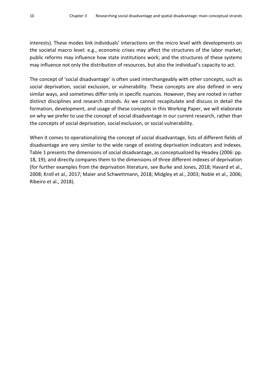interests). These modes link individuals' interactions on the micro level with developments on the societal macro level: e.g., economic crises may affect the structures of the labor market; public reforms may influence how state institutions work; and the structures of these systems may influence not only the distribution of resources, but also the individual's capacity to act.

The concept of 'social disadvantage' is often used interchangeably with other concepts, such as social deprivation, social exclusion, or vulnerability. These concepts are also defined in very similar ways, and sometimes differ only in specific nuances. However, they are rooted in rather distinct disciplines and research strands. As we cannot recapitulate and discuss in detail the formation, development, and usage of these concepts in this Working Paper, we will elaborate on why we prefer to use the concept of social disadvantage in our current research, rather than the concepts of social deprivation, social exclusion, or social vulnerability.

When it comes to operationalizing the concept of social disadvantage, lists of different fields of disadvantage are very similar to the wide range of existing deprivation indicators and indexes. Table 1 presents the dimensions of social disadvantage, as conceptualized by Headey (2006: pp. 18, 19); and directly compares them to the dimensions of three different indexes of deprivation (for further examples from the deprivation literature, see Burke and Jones, 2018; Havard et al., 2008; Kroll et al., 2017; Maier and Schwettmann, 2018; Midgley et al., 2003; Noble et al., 2006; Ribeiro et al., 2018).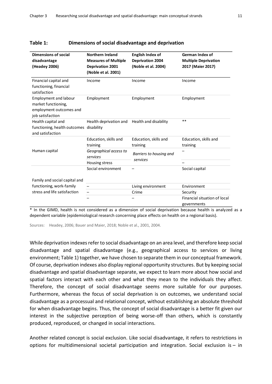| Dimensions of social                   | Northern Ireland                                |                                                    | German Index of                                  |  |
|----------------------------------------|-------------------------------------------------|----------------------------------------------------|--------------------------------------------------|--|
| disadvantage                           | <b>Measures of Multiple</b>                     | <b>English Index of</b><br><b>Deprivation 2004</b> | <b>Multiple Deprivation</b><br>2017 (Maier 2017) |  |
| (Headey 2006)                          | <b>Deprivation 2001</b>                         | (Noble et al. 2004)                                |                                                  |  |
|                                        | (Noble et al. 2001)                             |                                                    |                                                  |  |
|                                        |                                                 |                                                    |                                                  |  |
| Financial capital and                  | Income<br>Income                                |                                                    | Income                                           |  |
| functioning, financial<br>satisfaction |                                                 |                                                    |                                                  |  |
| <b>Employment and labour</b>           | Employment                                      | Employment                                         | Employment                                       |  |
| market functioning,                    |                                                 |                                                    |                                                  |  |
| employment outcomes and                |                                                 |                                                    |                                                  |  |
| job satisfaction                       |                                                 |                                                    |                                                  |  |
| Health capital and                     | Health deprivation and<br>Health and disability |                                                    | $**$                                             |  |
| functioning, health outcomes           | disability                                      |                                                    |                                                  |  |
| and satisfaction                       |                                                 |                                                    |                                                  |  |
|                                        | Education, skills and                           | Education, skills and                              | Education, skills and                            |  |
|                                        | training                                        | training                                           | training                                         |  |
| Human capital                          | Geographical access to                          | Barriers to housing and                            |                                                  |  |
|                                        | services                                        | services                                           |                                                  |  |
|                                        | Housing stress                                  |                                                    |                                                  |  |
|                                        | Social environment                              |                                                    | Social capital                                   |  |
|                                        |                                                 |                                                    |                                                  |  |
| Family and social capital and          |                                                 |                                                    |                                                  |  |
| functioning, work-family               |                                                 | Living environment                                 | Environment                                      |  |
| stress and life satisfaction           |                                                 | Crime                                              | Security                                         |  |
|                                        |                                                 |                                                    | Financial situation of local                     |  |
|                                        |                                                 |                                                    | governments                                      |  |

#### <span id="page-18-0"></span>**Table 1: Dimensions of social disadvantage and deprivation**

\* In the GIMD, health is not considered as a dimension of social deprivation because health is analyzed as a dependent variable (epidemiological research concerning place effects on health on a regional basis).

Sources: Headey, 2006; Bauer and Maier, 2018; Noble et al., 2001, 2004.

While deprivation indexes refer to social disadvantage on an area level, and therefore keep social disadvantage and spatial disadvantage (e.g., geographical access to services or living environment; Table 1) together, we have chosen to separate them in our conceptual framework. Of course, deprivation indexes also display regional opportunity structures. But by keeping social disadvantage and spatial disadvantage separate, we expect to learn more about how social and spatial factors interact with each other and what they mean to the individuals they affect. Therefore, the concept of social disadvantage seems more suitable for our purposes. Furthermore, whereas the focus of social deprivation is on outcomes, we understand social disadvantage as a processual and relational concept, without establishing an absolute threshold for when disadvantage begins. Thus, the concept of social disadvantage is a better fit given our interest in the subjective perception of being worse-off than others, which is constantly produced, reproduced, or changed in social interactions.

Another related concept is social exclusion. Like social disadvantage, it refers to restrictions in options for multidimensional societal participation and integration. Social exclusion is – in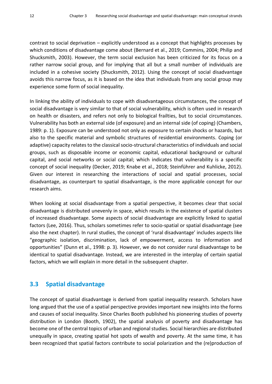contrast to social deprivation – explicitly understood as a concept that highlights processes by which conditions of disadvantage come about (Bernard et al., 2019; Commins, 2004; Philip and Shucksmith, 2003). However, the term social exclusion has been criticized for its focus on a rather narrow social group, and for implying that all but a small number of individuals are included in a cohesive society (Shucksmith, 2012). Using the concept of social disadvantage avoids this narrow focus, as it is based on the idea that individuals from any social group may experience some form of social inequality.

In linking the ability of individuals to cope with disadvantageous circumstances, the concept of social disadvantage is very similar to that of social vulnerability, which is often used in research on health or disasters, and refers not only to biological frailties, but to social circumstances. Vulnerability has both an external side (of exposure) and an internal side (of coping) (Chambers, 1989: p. 1). Exposure can be understood not only as exposure to certain shocks or hazards, but also to the specific material and symbolic structures of residential environments. Coping (or adaptive) capacity relates to the classical socio-structural characteristics of individuals and social groups, such as disposable income or economic capital, educational background or cultural capital, and social networks or social capital; which indicates that vulnerability is a specific concept of social inequality (Decker, 2019; Knabe et al., 2018; Steinführer and Kuhlicke, 2012). Given our interest in researching the interactions of social and spatial processes, social disadvantage, as counterpart to spatial disadvantage, is the more applicable concept for our research aims.

When looking at social disadvantage from a spatial perspective, it becomes clear that social disadvantage is distributed unevenly in space, which results in the existence of spatial clusters of increased disadvantage. Some aspects of social disadvantage are explicitly linked to spatial factors (Lee, 2016). Thus, scholars sometimes refer to socio-spatial or spatial disadvantage (see also the next chapter). In rural studies, the concept of 'rural disadvantage' includes aspects like "geographic isolation, discrimination, lack of empowerment, access to information and opportunities" (Dunn et al., 1998: p. 3). However, we do not consider rural disadvantage to be identical to spatial disadvantage. Instead, we are interested in the interplay of certain spatial factors, which we will explain in more detail in the subsequent chapter.

#### <span id="page-19-0"></span>**3.3 Spatial disadvantage**

The concept of spatial disadvantage is derived from spatial inequality research. Scholars have long argued that the use of a spatial perspective provides important new insights into the forms and causes of social inequality. Since Charles Booth published his pioneering studies of poverty distribution in London (Booth, 1902), the spatial analysis of poverty and disadvantage has become one of the central topics of urban and regional studies. Social hierarchies are distributed unequally in space, creating spatial hot spots of wealth and poverty. At the same time, it has been recognized that spatial factors contribute to social polarization and the (re)production of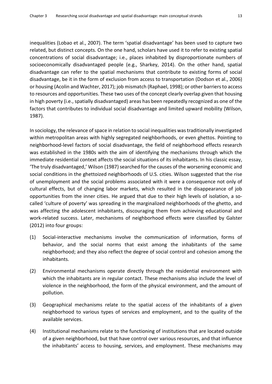inequalities (Lobao et al., 2007). The term 'spatial disadvantage' has been used to capture two related, but distinct concepts. On the one hand, scholars have used it to refer to existing spatial concentrations of social disadvantage; i.e., places inhabited by disproportionate numbers of socioeconomically disadvantaged people (e.g., Sharkey, 2014). On the other hand, spatial disadvantage can refer to the spatial mechanisms that contribute to existing forms of social disadvantage, be it in the form of exclusion from access to transportation (Dodson et al., 2006) or housing (Acolin and Wachter, 2017); job mismatch (Raphael, 1998); or other barriers to access to resources and opportunities. These two uses of the concept clearly overlap given that housing in high poverty (i.e., spatially disadvantaged) areas has been repeatedly recognized as one of the factors that contributes to individual social disadvantage and limited upward mobility (Wilson, 1987).

In sociology, the relevance of space in relation to social inequalities was traditionally investigated within metropolitan areas with highly segregated neighborhoods, or even ghettos. Pointing to neighborhood-level factors of social disadvantage, the field of neighborhood effects research was established in the 1980s with the aim of identifying the mechanisms through which the immediate residential context affects the social situations of its inhabitants. In his classic essay, 'The truly disadvantaged,' Wilson (1987) searched for the causes of the worsening economic and social conditions in the ghettoized neighborhoods of U.S. cities. Wilson suggested that the rise of unemployment and the social problems associated with it were a consequence not only of cultural effects, but of changing labor markets, which resulted in the disappearance of job opportunities from the inner cities. He argued that due to their high levels of isolation, a socalled 'culture of poverty' was spreading in the marginalized neighborhoods of the ghetto, and was affecting the adolescent inhabitants, discouraging them from achieving educational and work-related success. Later, mechanisms of neighborhood effects were classified by Galster (2012) into four groups:

- (1) Social-interactive mechanisms involve the communication of information, forms of behavior, and the social norms that exist among the inhabitants of the same neighborhood; and they also reflect the degree of social control and cohesion among the inhabitants.
- (2) Environmental mechanisms operate directly through the residential environment with which the inhabitants are in regular contact. These mechanisms also include the level of violence in the neighborhood, the form of the physical environment, and the amount of pollution.
- (3) Geographical mechanisms relate to the spatial access of the inhabitants of a given neighborhood to various types of services and employment, and to the quality of the available services.
- (4) Institutional mechanisms relate to the functioning of institutions that are located outside of a given neighborhood, but that have control over various resources, and that influence the inhabitants' access to housing, services, and employment. These mechanisms may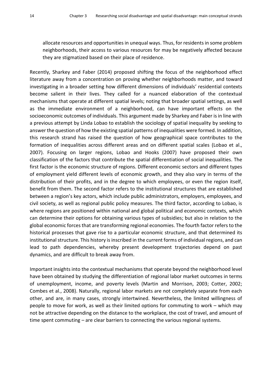allocate resources and opportunities in unequal ways. Thus, for residents in some problem neighborhoods, their access to various resources for may be negatively affected because they are stigmatized based on their place of residence.

Recently, Sharkey and Faber (2014) proposed shifting the focus of the neighborhood effect literature away from a concentration on proving whether neighborhoods matter, and toward investigating in a broader setting how different dimensions of individuals' residential contexts become salient in their lives. They called for a nuanced elaboration of the contextual mechanisms that operate at different spatial levels; noting that broader spatial settings, as well as the immediate environment of a neighborhood, can have important effects on the socioeconomic outcomes of individuals. This argument made by Sharkey and Faber is in line with a previous attempt by Linda Lobao to establish the sociology of spatial inequality by seeking to answer the question of how the existing spatial patterns of inequalities were formed. In addition, this research strand has raised the question of how geographical space contributes to the formation of inequalities across different areas and on different spatial scales (Lobao et al., 2007). Focusing on larger regions, Lobao and Hooks (2007) have proposed their own classification of the factors that contribute the spatial differentiation of social inequalities. The first factor is the economic structure of regions. Different economic sectors and different types of employment yield different levels of economic growth, and they also vary in terms of the distribution of their profits, and in the degree to which employees, or even the region itself, benefit from them. The second factor refers to the institutional structures that are established between a region's key actors, which include public administrators, employers, employees, and civil society, as well as regional public policy measures. The third factor, according to Lobao, is where regions are positioned within national and global political and economic contexts, which can determine their options for obtaining various types of subsidies; but also in relation to the global economic forces that are transforming regional economies. The fourth factor refers to the historical processes that gave rise to a particular economic structure, and that determined its institutional structure. This history is inscribed in the current forms of individual regions, and can lead to path dependencies, whereby present development trajectories depend on past dynamics, and are difficult to break away from.

Important insights into the contextual mechanisms that operate beyond the neighborhood level have been obtained by studying the differentiation of regional labor market outcomes in terms of unemployment, income, and poverty levels (Martin and Morrison, 2003; Cotter, 2002; Combes et al., 2008). Naturally, regional labor markets are not completely separate from each other, and are, in many cases, strongly intertwined. Nevertheless, the limited willingness of people to move for work, as well as their limited options for commuting to work – which may not be attractive depending on the distance to the workplace, the cost of travel, and amount of time spent commuting – are clear barriers to connecting the various regional systems.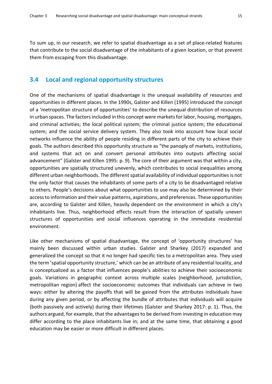To sum up, in our research, we refer to spatial disadvantage as a set of place-related features that contribute to the social disadvantage of the inhabitants of a given location, or that prevent them from escaping from this disadvantage.

#### <span id="page-22-0"></span>**3.4 Local and regional opportunity structures**

One of the mechanisms of spatial disadvantage is the unequal availability of resources and opportunities in different places. In the 1990s, Galster and Killen (1995) introduced the concept of a 'metropolitan structure of opportunities' to describe the unequal distribution of resources in urban spaces. The factors included in this concept were markets for labor, housing, mortgages, and criminal activities; the local political system; the criminal justice system; the educational system; and the social service delivery system. They also took into account how local social networks influence the ability of people residing in different parts of the city to achieve their goals. The authors described this opportunity structure as "the panoply of markets, institutions, and systems that act on and convert personal attributes into outputs affecting social advancement" (Galster and Killen 1995: p. 9). The core of their argument was that within a city, opportunities are spatially structured unevenly, which contributes to social inequalities among different urban neighborhoods. The different spatial availability of individual opportunities is not the only factor that causes the inhabitants of some parts of a city to be disadvantaged relative to others. People's decisions about what opportunities to use may also be determined by their access to information and their value patterns, aspirations, and preferences. These opportunities are, according to Galster and Killen, heavily dependent on the environment in which a city's inhabitants live. Thus, neighborhood effects result from the interaction of spatially uneven structures of opportunities and social influences operating in the immediate residential environment.

Like other mechanisms of spatial disadvantage, the concept of 'opportunity structures' has mainly been discussed within urban studies. Galster and Sharkey (2017) expanded and generalized the concept so that it no longer had specific ties to a metropolitan area. They used the term 'spatial opportunity structure,' which can be an attribute of any residential locality, and is conceptualized as a factor that influences people's abilities to achieve their socioeconomic goals. Variations in geographic context across multiple scales (neighborhood, jurisdiction, metropolitan region) affect the socioeconomic outcomes that individuals can achieve in two ways: either by altering the payoffs that will be gained from the attributes individuals have during any given period, or by affecting the bundle of attributes that individuals will acquire (both passively and actively) during their lifetimes (Galster and Sharkey 2017: p. 1). Thus, the authors argued, for example, that the advantages to be derived from investing in education may differ according to the place inhabitants live in; and at the same time, that obtaining a good education may be easier or more difficult in different places.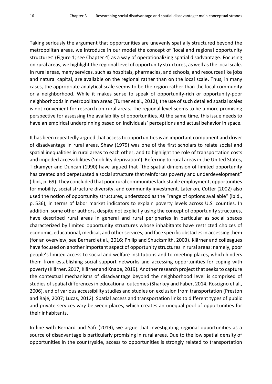Taking seriously the argument that opportunities are unevenly spatially structured beyond the metropolitan areas, we introduce in our model the concept of 'local and regional opportunity structures' (Figure 1; see Chapter 4) as a way of operationalizing spatial disadvantage. Focusing on rural areas, we highlight the regional level of opportunity structures, as well as the local scale. In rural areas, many services, such as hospitals, pharmacies, and schools, and resources like jobs and natural capital, are available on the regional rather than on the local scale. Thus, in many cases, the appropriate analytical scale seems to be the region rather than the local community or a neighborhood. While it makes sense to speak of opportunity-rich or opportunity-poor neighborhoods in metropolitan areas (Turner et al., 2012), the use of such detailed spatial scales is not convenient for research on rural areas. The regional level seems to be a more promising perspective for assessing the availability of opportunities. At the same time, this issue needs to have an empirical underpinning based on individuals' perceptions and actual behavior in space.

It has been repeatedly argued that access to opportunities is an important component and driver of disadvantage in rural areas. Shaw (1979) was one of the first scholars to relate social and spatial inequalities in rural areas to each other, and to highlight the role of transportation costs and impeded accessibilities ('mobility deprivation'). Referring to rural areas in the United States, Tickamyer and Duncan (1990) have argued that "the spatial dimension of limited opportunity has created and perpetuated a social structure that reinforces poverty and underdevelopment" (ibid., p. 69). They concluded that poor rural communities lack stable employment, opportunities for mobility, social structure diversity, and community investment. Later on, Cotter (2002) also used the notion of opportunity structures, understood as the "range of options available" (ibid., p. 536), in terms of labor market indicators to explain poverty levels across U.S. counties. In addition, some other authors, despite not explicitly using the concept of opportunity structures, have described rural areas in general and rural peripheries in particular as social spaces characterized by limited opportunity structures whose inhabitants have restricted choices of economic, educational, medical, and other services; and face specific obstacles in accessing them (for an overview, see Bernard et al., 2016; Philip and Shucksmith, 2003). Klärner and colleagues have focused on another important aspect of opportunity structures in rural areas: namely, poor people's limited access to social and welfare institutions and to meeting places, which hinders them from establishing social support networks and accessing opportunities for coping with poverty (Klärner, 2017; Klärner and Knabe, 2019). Another research project that seeks to capture the contextual mechanisms of disadvantage beyond the neighborhood level is comprised of studies of spatial differences in educational outcomes (Sharkey and Faber, 2014; Roscigno et al., 2006), and of various accessibility studies and studies on exclusion from transportation (Preston and Rajé, 2007; Lucas, 2012). Spatial access and transportation links to different types of public and private services vary between places, which creates an unequal pool of opportunities for their inhabitants.

In line with Bernard and Šafr (2019), we argue that investigating regional opportunities as a source of disadvantage is particularly promising in rural areas. Due to the low spatial density of opportunities in the countryside, access to opportunities is strongly related to transportation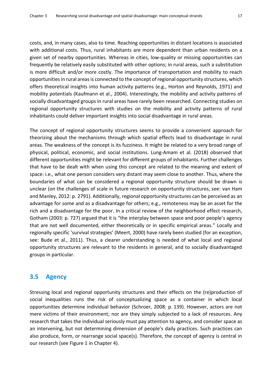costs, and, in many cases, also to time. Reaching opportunities in distant locations is associated with additional costs. Thus, rural inhabitants are more dependent than urban residents on a given set of nearby opportunities. Whereas in cities, low-quality or missing opportunities can frequently be relatively easily substituted with other options; in rural areas, such a substitution is more difficult and/or more costly. The importance of transportation and mobility to reach opportunities in rural areas is connected to the concept of regional opportunity structures, which offers theoretical insights into human activity patterns (e.g., Horton and Reynolds, 1971) and mobility potentials (Kaufmann et al., 2004). Interestingly, the mobility and activity patterns of socially disadvantaged groups in rural areas have rarely been researched. Connecting studies on regional opportunity structures with studies on the mobility and activity patterns of rural inhabitants could deliver important insights into social disadvantage in rural areas.

The concept of regional opportunity structures seems to provide a convenient approach for theorizing about the mechanisms through which spatial effects lead to disadvantage in rural areas. The weakness of the concept is its fuzziness. It might be related to a very broad range of physical, political, economic, and social institutions. Lung-Amam et al. (2018) observed that different opportunities might be relevant for different groups of inhabitants. Further challenges that have to be dealt with when using this concept are related to the meaning and extent of space: i.e., what one person considers very distant may seem close to another. Thus, where the boundaries of what can be considered a regional opportunity structure should be drawn is unclear (on the challenges of scale in future research on opportunity structures, see: van Ham and Manley, 2012: p. 2791). Additionally, regional opportunity structures can be perceived as an advantage for some and as a disadvantage for others; e.g., remoteness may be an asset for the rich and a disadvantage for the poor. In a critical review of the neighborhood effect research, Gotham (2003: p. 727) argued that it is "the interplay between space and poor people's agency that are not well documented, either theoretically or in specific empirical areas." Locally and regionally specific 'survival strategies' (Meert, 2000) have rarely been studied (for an exception, see: Bude et al., 2011). Thus, a clearer understanding is needed of what local and regional opportunity structures are relevant to the residents in general, and to socially disadvantaged groups in particular.

#### <span id="page-24-0"></span>**3.5 Agency**

Stressing local and regional opportunity structures and their effects on the (re)production of social inequalities runs the risk of conceptualizing space as a container in which local opportunities determine individual behavior (Schroer, 2008: p. 139). However, actors are not mere victims of their environment; nor are they simply subjected to a lack of resources. Any research that takes the individual seriously must pay attention to agency, and consider space as an intervening, but not determining dimension of people's daily practices. Such practices can also produce, form, or rearrange social space(s). Therefore, the concept of agency is central in our research (see Figure 1 in Chapter 4).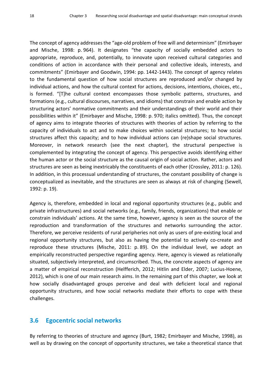The concept of agency addresses the "age-old problem of free will and determinism" (Emirbayer and Mische, 1998: p. 964). It designates "the capacity of socially embedded actors to appropriate, reproduce, and, potentially, to innovate upon received cultural categories and conditions of action in accordance with their personal and collective ideals, interests, and commitments" (Emirbayer and Goodwin, 1994: pp. 1442-1443). The concept of agency relates to the fundamental question of how social structures are reproduced and/or changed by individual actions, and how the cultural context for actions, decisions, intentions, choices, etc., is formed. "[T]he cultural context encompasses those symbolic patterns, structures, and formations (e.g., cultural discourses, narratives, and idioms) that constrain and enable action by structuring actors' normative commitments and their understandings of their world and their possibilities within it" (Emirbayer and Mische, 1998: p. 970; italics omitted). Thus, the concept of agency aims to integrate theories of structures with theories of action by referring to the capacity of individuals to act and to make choices within societal structures; to how social structures affect this capacity; and to how individual actions can (re)shape social structures. Moreover, in network research (see the next chapter), the structural perspective is complemented by integrating the concept of agency. This perspective avoids identifying either the human actor or the social structure as the causal origin of social action. Rather, actors and structures are seen as being inextricably the constituents of each other (Crossley, 2011: p. 126). In addition, in this processual understanding of structures, the constant possibility of change is conceptualized as inevitable, and the structures are seen as always at risk of changing (Sewell, 1992: p. 19).

Agency is, therefore, embedded in local and regional opportunity structures (e.g., public and private infrastructures) and social networks (e.g., family, friends, organizations) that enable or constrain individuals' actions. At the same time, however, agency is seen as the source of the reproduction and transformation of the structures and networks surrounding the actor. Therefore, we perceive residents of rural peripheries not only as users of pre-existing local and regional opportunity structures, but also as having the potential to actively co-create and reproduce these structures (Mische, 2011: p. 89). On the individual level, we adopt an empirically reconstructed perspective regarding agency. Here, agency is viewed as relationally situated, subjectively interpreted, and circumscribed. Thus, the concrete aspects of agency are a matter of empirical reconstruction (Helfferich, 2012; Hitlin and Elder, 2007; Lucius-Hoene, 2012), which is one of our main research aims. In the remaining part of this chapter, we look at how socially disadvantaged groups perceive and deal with deficient local and regional opportunity structures, and how social networks mediate their efforts to cope with these challenges.

## <span id="page-25-0"></span>**3.6 Egocentric social networks**

By referring to theories of structure and agency (Burt, 1982; Emirbayer and Mische, 1998), as well as by drawing on the concept of opportunity structures, we take a theoretical stance that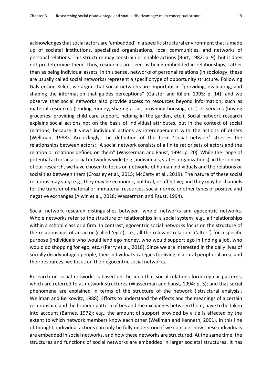acknowledges that social actors are 'embedded' in a specific structural environment that is made up of societal institutions, specialized organizations, local communities, and networks of personal relations. This structure may constrain or enable actions (Burt, 1982: p. 9), but it does not predetermine them. Thus, resources are seen as being embedded in relationships, rather than as being individual assets. In this sense, networks of personal relations (in sociology, these are usually called social networks) represent a specific type of opportunity structure. Following Galster and Killen, we argue that social networks are important in "providing, evaluating, and shaping the information that guides perceptions" (Galster and Killen, 1995: p. 14); and we observe that social networks also provide access to resources beyond information, such as material resources (lending money, sharing a car, providing housing, etc.) or services (buying groceries, providing child care support, helping in the garden, etc.). Social network research explains social actions not on the basis of individual attributes, but in the context of social relations, because it views individual actions as interdependent with the actions of others (Wellman, 1988). Accordingly, the definition of the term 'social network' stresses the relationships between actors: "A social network consists of a finite set or sets of actors and the relation or relations defined on them" (Wasserman and Faust, 1994: p. 20). While the range of potential actors in a social network is wide (e.g., individuals, states, organizations), in the context of our research, we have chosen to focus on networks of human individuals and the relations or social ties between them (Crossley et al., 2015; McCarty et al., 2019). The nature of these social relations may vary: e.g., they may be economic, political, or affective; and they may be channels for the transfer of material or immaterial resources, social norms, or other types of positive and negative exchanges (Alwin et al., 2018; Wasserman and Faust, 1994).

Social network research distinguishes between 'whole' networks and egocentric networks. Whole networks refer to the structure of relationships in a social system; e.g., all relationships within a school class or a firm. In contrast, egocentric social networks focus on the structure of the relationships of an actor (called 'ego'); i.e., all the relevant relations ('alteri') for a specific purpose (individuals who would lend ego money, who would support ego in finding a job, who would do shopping for ego, etc.) (Perry et al., 2018). Since we are interested in the daily lives of socially disadvantaged people, their individual strategies for living in a rural peripheral area, and their resources, we focus on their egocentric social networks.

Research on social networks is based on the idea that social relations form regular patterns, which are referred to as network structures (Wasserman and Faust, 1994: p. 3); and that social phenomena are explained in terms of the structure of the network ('structural analysis', Wellman and Berkowitz, 1988). Efforts to understand the effects and the meanings of a certain relationship, and the broader pattern of ties and the exchanges between them, have to be taken into account (Barnes, 1972); e.g., the amount of support provided by a tie is affected by the extent to which network members know each other (Wellman and Kenneth, 2001). In this line of thought, individual actions can only be fully understood if we consider how these individuals are embedded in social networks, and how these networks are structured. At the same time, the structures and functions of social networks are embedded in larger societal structures. It has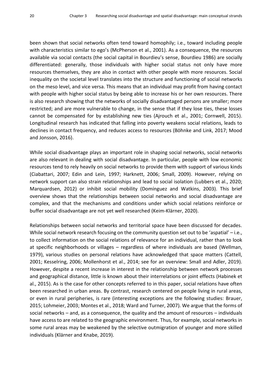been shown that social networks often tend toward homophily; i.e., toward including people with characteristics similar to ego's (McPherson et al., 2001). As a consequence, the resources available via social contacts (the social capital in Bourdieu's sense, Bourdieu 1986) are socially differentiated: generally, those individuals with higher social status not only have more resources themselves, they are also in contact with other people with more resources. Social inequality on the societal level translates into the structure and functioning of social networks on the meso level, and vice versa. This means that an individual may profit from having contact with people with higher social status by being able to increase his or her own resources. There is also research showing that the networks of socially disadvantaged persons are smaller; more restricted; and are more vulnerable to change, in the sense that if they lose ties, these losses cannot be compensated for by establishing new ties (Ajrouch et al., 2001; Cornwell, 2015). Longitudinal research has indicated that falling into poverty weakens social relations, leads to declines in contact frequency, and reduces access to resources (Böhnke and Link, 2017; Mood and Jonsson, 2016).

While social disadvantage plays an important role in shaping social networks, social networks are also relevant in dealing with social disadvantage. In particular, people with low economic resources tend to rely heavily on social networks to provide them with support of various kinds (Ciabattari, 2007; Edin and Lein, 1997; Harknett, 2006; Small, 2009). However, relying on network support can also strain relationships and lead to social isolation (Lubbers et al., 2020; Marquardsen, 2012) or inhibit social mobility (Domínguez and Watkins, 2003). This brief overview shows that the relationships between social networks and social disadvantage are complex, and that the mechanisms and conditions under which social relations reinforce or buffer social disadvantage are not yet well researched (Keim-Klärner, 2020).

Relationships between social networks and territorial space have been discussed for decades. While social network research focusing on the community question set out to be 'aspatial' – i.e., to collect information on the social relations of relevance for an individual, rather than to look at specific neighborhoods or villages – regardless of where individuals are based (Wellman, 1979), various studies on personal relations have acknowledged that space matters (Cattell, 2001; Kesselring, 2006; Mollenhorst et al., 2014; see for an overview: Small and Adler, 2019). However, despite a recent increase in interest in the relationship between network processes and geographical distance, little is known about their interrelations or joint effects (Habinek et al., 2015). As is the case for other concepts referred to in this paper, social relations have often been researched in urban areas. By contrast, research centered on people living in rural areas, or even in rural peripheries, is rare (interesting exceptions are the following studies: Brauer, 2015; Lohmeier, 2003; Montes et al., 2018; Ward and Turner, 2007). We argue that the forms of social networks – and, as a consequence, the quality and the amount of resources – individuals have access to are related to the geographic environment. Thus, for example, social networks in some rural areas may be weakened by the selective outmigration of younger and more skilled individuals (Klärner and Knabe, 2019).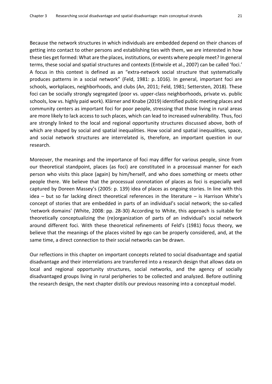Because the network structures in which individuals are embedded depend on their chances of getting into contact to other persons and establishing ties with them, we are interested in how these ties get formed: What are the places, institutions, or events where people meet? In general terms, these social and spatial structures and contexts (Entwisle et al., 2007) can be called 'foci.' A focus in this context is defined as an "extra-network social structure that systematically produces patterns in a social network" (Feld, 1981: p. 1016). In general, important foci are schools, workplaces, neighborhoods, and clubs (An, 2011; Feld, 1981; Settersten, 2018). These foci can be socially strongly segregated (poor vs. upper-class neighborhoods, private vs. public schools, low vs. highly paid work). Klärner and Knabe (2019) identified public meeting places and community centers as important foci for poor people, stressing that those living in rural areas are more likely to lack access to such places, which can lead to increased vulnerability. Thus, foci are strongly linked to the local and regional opportunity structures discussed above, both of which are shaped by social and spatial inequalities. How social and spatial inequalities, space, and social network structures are interrelated is, therefore, an important question in our research.

Moreover, the meanings and the importance of foci may differ for various people, since from our theoretical standpoint, places (as foci) are constituted in a processual manner for each person who visits this place (again) by him/herself, and who does something or meets other people there. We believe that the processual connotation of places as foci is especially well captured by Doreen Massey's (2005: p. 139) idea of places as ongoing stories. In line with this idea – but so far lacking direct theoretical references in the literature – is Harrison White's concept of stories that are embedded in parts of an individual's social network; the so-called 'network domains' (White, 2008: pp. 28-30) According to White, this approach is suitable for theoretically conceptualizing the (re)organization of parts of an individual's social network around different foci. With these theoretical refinements of Feld's (1981) focus theory, we believe that the meanings of the places visited by ego can be properly considered, and, at the same time, a direct connection to their social networks can be drawn.

Our reflections in this chapter on important concepts related to social disadvantage and spatial disadvantage and their interrelations are transferred into a research design that allows data on local and regional opportunity structures, social networks, and the agency of socially disadvantaged groups living in rural peripheries to be collected and analyzed. Before outlining the research design, the next chapter distils our previous reasoning into a conceptual model.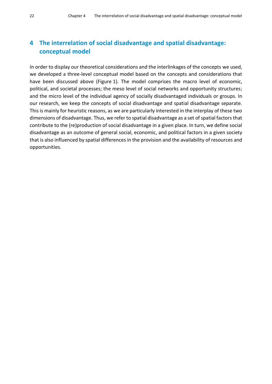## <span id="page-29-0"></span>**4 The interrelation of social disadvantage and spatial disadvantage: conceptual model**

In order to display our theoretical considerations and the interlinkages of the concepts we used, we developed a three-level conceptual model based on the concepts and considerations that have been discussed above (Figure 1). The model comprises the macro level of economic, political, and societal processes; the meso level of social networks and opportunity structures; and the micro level of the individual agency of socially disadvantaged individuals or groups. In our research, we keep the concepts of social disadvantage and spatial disadvantage separate. This is mainly for heuristic reasons, as we are particularly interested in the interplay of these two dimensions of disadvantage. Thus, we refer to spatial disadvantage as a set of spatial factors that contribute to the (re)production of social disadvantage in a given place. In turn, we define social disadvantage as an outcome of general social, economic, and political factors in a given society that is also influenced by spatial differences in the provision and the availability of resources and opportunities.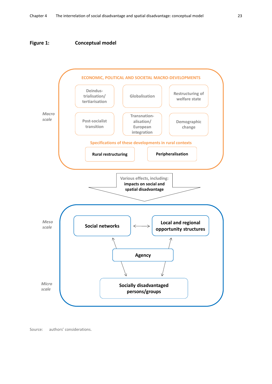#### <span id="page-30-0"></span>**Figure 1: Conceptual model**



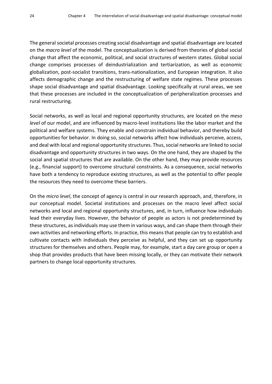The general societal processes creating social disadvantage and spatial disadvantage are located on the *macro level* of the model. The conceptualization is derived from theories of global social change that affect the economic, political, and social structures of western states. Global social change comprises processes of deindustrialization and tertiarization, as well as economic globalization, post-socialist transitions, trans-nationalization, and European integration. It also affects demographic change and the restructuring of welfare state regimes. These processes shape social disadvantage and spatial disadvantage. Looking specifically at rural areas, we see that these processes are included in the conceptualization of peripheralization processes and rural restructuring.

Social networks, as well as local and regional opportunity structures, are located on the *meso level* of our model, and are influenced by macro-level institutions like the labor market and the political and welfare systems. They enable and constrain individual behavior, and thereby build opportunitie*s* for behavior. In doing so, social networks affect how individuals perceive, access, and deal with local and regional opportunity structures. Thus, social networks are linked to social disadvantage and opportunity structures in two ways. On the one hand, they are shaped by the social and spatial structures that are available. On the other hand, they may provide resources (e.g., financial support) to overcome structural constraints. As a consequence, social networks have both a tendency to reproduce existing structures, as well as the potential to offer people the resources they need to overcome these barriers.

On the *micro level*, the concept of agency is central in our research approach, and, therefore, in our conceptual model. Societal institutions and processes on the macro level affect social networks and local and regional opportunity structures, and, in turn, influence how individuals lead their everyday lives. However, the behavior of people as actors is not predetermined by these structures, as individuals may use them in various ways, and can shape them through their own activities and networking efforts. In practice, this means that people can try to establish and cultivate contacts with individuals they perceive as helpful, and they can set up opportunity structures for themselves and others. People may, for example, start a day care group or open a shop that provides products that have been missing locally, or they can motivate their network partners to change local opportunity structures.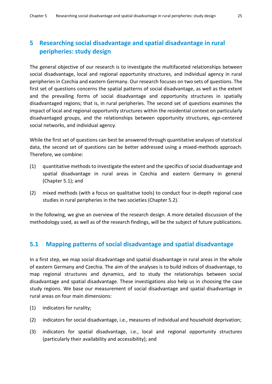## <span id="page-32-0"></span>**5 Researching social disadvantage and spatial disadvantage in rural peripheries: study design**

The general objective of our research is to investigate the multifaceted relationships between social disadvantage, local and regional opportunity structures, and individual agency in rural peripheries in Czechia and eastern Germany. Our research focuses on two sets of questions. The first set of questions concerns the spatial patterns of social disadvantage, as well as the extent and the prevailing forms of social disadvantage and opportunity structures in spatially disadvantaged regions; that is, in rural peripheries. The second set of questions examines the impact of local and regional opportunity structures within the residential context on particularly disadvantaged groups, and the relationships between opportunity structures, ego-centered social networks, and individual agency.

While the first set of questions can best be answered through quantitative analyses of statistical data, the second set of questions can be better addressed using a mixed-methods approach. Therefore, we combine:

- (1) quantitative methods to investigate the extent and the specifics of social disadvantage and spatial disadvantage in rural areas in Czechia and eastern Germany in general (Chapter 5.1); and
- (2) mixed methods (with a focus on qualitative tools) to conduct four in-depth regional case studies in rural peripheries in the two societies (Chapter 5.2).

<span id="page-32-1"></span>In the following, we give an overview of the research design. A more detailed discussion of the methodology used, as well as of the research findings, will be the subject of future publications.

#### **5.1 Mapping patterns of social disadvantage and spatial disadvantage**

In a first step, we map social disadvantage and spatial disadvantage in rural areas in the whole of eastern Germany and Czechia. The aim of the analyses is to build indices of disadvantage, to map regional structures and dynamics, and to study the relationships between social disadvantage and spatial disadvantage. These investigations also help us in choosing the case study regions. We base our measurement of social disadvantage and spatial disadvantage in rural areas on four main dimensions:

- (1) indicators for rurality;
- (2) indicators for social disadvantage, i.e., measures of individual and household deprivation;
- (3) indicators for spatial disadvantage, i.e., local and regional opportunity structures (particularly their availability and accessibility); and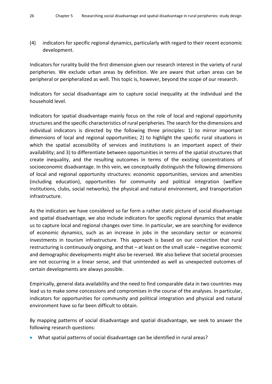(4) indicators for specific regional dynamics, particularly with regard to their recent economic development.

Indicators for rurality build the first dimension given our research interest in the variety of rural peripheries. We exclude urban areas by definition. We are aware that urban areas can be peripheral or peripheralized as well. This topic is, however, beyond the scope of our research.

Indicators for social disadvantage aim to capture social inequality at the individual and the household level.

Indicators for spatial disadvantage mainly focus on the role of local and regional opportunity structures and the specific characteristics of rural peripheries. The search for the dimensions and individual indicators is directed by the following three principles: 1) to mirror important dimensions of local and regional opportunities; 2) to highlight the specific rural situations in which the spatial accessibility of services and institutions is an important aspect of their availability; and 3) to differentiate between opportunities in terms of the spatial structures that create inequality, and the resulting outcomes in terms of the existing concentrations of socioeconomic disadvantage. In this vein, we conceptually distinguish the following dimensions of local and regional opportunity structures: economic opportunities, services and amenities (including education), opportunities for community and political integration (welfare institutions, clubs, social networks), the physical and natural environment, and transportation infrastructure.

As the indicators we have considered so far form a rather static picture of social disadvantage and spatial disadvantage, we also include indicators for specific regional dynamics that enable us to capture local and regional changes over time. In particular, we are searching for evidence of economic dynamics, such as an increase in jobs in the secondary sector or economic investments in tourism infrastructure. This approach is based on our conviction that rural restructuring is continuously ongoing, and that – at least on the small scale – negative economic and demographic developments might also be reversed. We also believe that societal processes are not occurring in a linear sense, and that unintended as well as unexpected outcomes of certain developments are always possible.

Empirically, general data availability and the need to find comparable data in two countries may lead us to make some concessions and compromises in the course of the analyses. In particular, indicators for opportunities for community and political integration and physical and natural environment have so far been difficult to obtain.

By mapping patterns of social disadvantage and spatial disadvantage, we seek to answer the following research questions:

• What spatial patterns of social disadvantage can be identified in rural areas?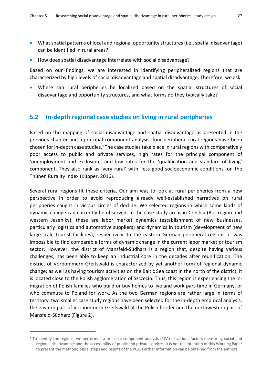- What spatial patterns of local and regional opportunity structures (i.e., spatial disadvantage) can be identified in rural areas?
- How does spatial disadvantage interrelate with social disadvantage?

Based on our findings, we are interested in identifying peripheralized regions that are characterized by high levels of social disadvantage and spatial disadvantage. Therefore, we ask:

<span id="page-34-0"></span>• Where can rural peripheries be localized based on the spatial structures of social disadvantage and opportunity structures, and what forms do they typically take?

#### **5.2 In-depth regional case studies on living in rural peripheries**

Based on the mapping of social disadvantage and spatial disadvantage as presented in the previous chapter and a principal component analysis, four peripheral rural regions have been chosen for in-depth case studies.<sup>3</sup> The case studies take place in rural regions with comparatively poor access to public and private services, high rates for the principal component of 'unemployment and exclusion,' and low rates for the 'qualification and standard of living' component. They also rank as 'very rural' with 'less good socioeconomic conditions' on the Thünen Rurality Index (Küpper, 2016).

Several rural regions fit these criteria. Our aim was to look at rural peripheries from a new perspective in order to avoid reproducing already well-established narratives on rural peripheries caught in vicious circles of decline. We selected regions in which some kinds of dynamic change can currently be observed. In the case study areas in Czechia (Bor region and western Jeseníky), these are labor market dynamics (establishment of new businesses, particularly logistics and automotive suppliers) and dynamics in tourism (development of new large-scale tourist facilities), respectively. In the eastern German peripheral regions, it was impossible to find comparable forms of dynamic change in the current labor market or tourism sector. However, the district of Mansfeld-Südharz is a region that, despite having various challenges, has been able to keep an industrial core in the decades after reunification. The district of Vorpommern-Greifswald is characterized by yet another form of regional dynamic change: as well as having tourism activities on the Baltic Sea coast in the north of the district, it is located close to the Polish agglomeration of Szczecin. Thus, this region is experiencing the inmigration of Polish families who build or buy homes to live and work part-time in Germany, or who commute to Poland for work. As the two German regions are rather large in terms of territory, two smaller case study regions have been selected for the in-depth empirical analysis: the eastern part of Vorpommern-Greifswald at the Polish border and the northwestern part of Mansfeld-Südharz (Figure 2).

 $\overline{a}$ 

**<sup>3</sup>** To identify the regions, we performed a principal component analysis (PCA) of various factors measuring social and regional disadvantage and the accessibility of public and private services. It is not the intention of this Working Paper to present the methodological steps and results of the PCA. Further information can be obtained from the authors.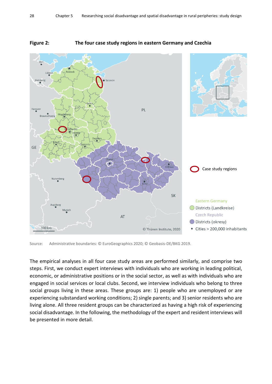

#### <span id="page-35-0"></span>**Figure 2: The four case study regions in eastern Germany and Czechia**

Source: Administrative boundaries: © EuroGeographics 2020; © Geobasis-DE/BKG 2019.

The empirical analyses in all four case study areas are performed similarly, and comprise two steps. First, we conduct expert interviews with individuals who are working in leading political, economic, or administrative positions or in the social sector, as well as with individuals who are engaged in social services or local clubs. Second, we interview individuals who belong to three social groups living in these areas. These groups are: 1) people who are unemployed or are experiencing substandard working conditions; 2) single parents; and 3) senior residents who are living alone. All three resident groups can be characterized as having a high risk of experiencing social disadvantage. In the following, the methodology of the expert and resident interviews will be presented in more detail.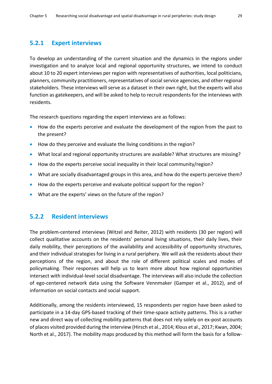#### **5.2.1 Expert interviews**

To develop an understanding of the current situation and the dynamics in the regions under investigation and to analyze local and regional opportunity structures, we intend to conduct about 10 to 20 expert interviews per region with representatives of authorities, local politicians, planners, community practitioners, representatives of social service agencies, and other regional stakeholders. These interviews will serve as a dataset in their own right, but the experts will also function as gatekeepers, and will be asked to help to recruit respondents for the interviews with residents.

The research questions regarding the expert interviews are as follows:

- How do the experts perceive and evaluate the development of the region from the past to the present?
- How do they perceive and evaluate the living conditions in the region?
- What local and regional opportunity structures are available? What structures are missing?
- How do the experts perceive social inequality in their local community/region?
- What are socially disadvantaged groups in this area, and how do the experts perceive them?
- How do the experts perceive and evaluate political support for the region?
- What are the experts' views on the future of the region?

#### **5.2.2 Resident interviews**

The problem-centered interviews (Witzel and Reiter, 2012) with residents (30 per region) will collect qualitative accounts on the residents' personal living situations, their daily lives, their daily mobility, their perceptions of the availability and accessibility of opportunity structures, and their individual strategies for living in a rural periphery. We will ask the residents about their perceptions of the region, and about the role of different political scales and modes of policymaking. Their responses will help us to learn more about how regional opportunities intersect with individual-level social disadvantage. The interviews will also include the collection of ego-centered network data using the Software Vennmaker (Gamper et al., 2012), and of information on social contacts and social support.

Additionally, among the residents interviewed, 15 respondents per region have been asked to participate in a 14-day GPS-based tracking of their time-space activity patterns. This is a rather new and direct way of collecting mobility patterns that does not rely solely on ex-post accounts of places visited provided during the interview (Hirsch et al., 2014; Klous et al., 2017; Kwan, 2004; North et al., 2017). The mobility maps produced by this method will form the basis for a follow-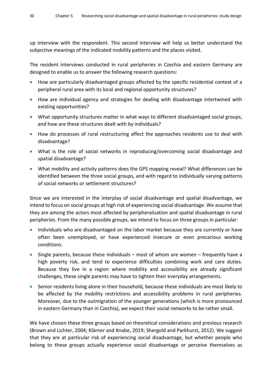up interview with the respondent. This second interview will help us better understand the subjective meanings of the indicated mobility patterns and the places visited.

The resident interviews conducted in rural peripheries in Czechia and eastern Germany are designed to enable us to answer the following research questions:

- How are particularly disadvantaged groups affected by the specific residential context of a peripheral rural area with its local and regional opportunity structures?
- How are individual agency and strategies for dealing with disadvantage intertwined with existing opportunities?
- What opportunity structures matter in what ways to different disadvantaged social groups, and how are these structures dealt with by individuals?
- How do processes of rural restructuring affect the approaches residents use to deal with disadvantage?
- What is the role of social networks in reproducing/overcoming social disadvantage and spatial disadvantage?
- What mobility and activity patterns does the GPS mapping reveal? What differences can be identified between the three social groups, and with regard to individually varying patterns of social networks or settlement structures?

Since we are interested in the interplay of social disadvantage and spatial disadvantage, we intend to focus on social groups at high risk of experiencing social disadvantage. We assume that they are among the actors most affected by peripheralization and spatial disadvantage in rural peripheries. From the many possible groups, we intend to focus on three groups in particular:

- Individuals who are disadvantaged on the labor market because they are currently or have often been unemployed, or have experienced insecure or even precarious working conditions.
- Single parents, because these individuals most of whom are women frequently have a high poverty risk, and tend to experience difficulties combining work and care duties. Because they live in a region where mobility and accessibility are already significant challenges, these single parents may have to tighten their everyday arrangements.
- Senior residents living alone in their household, because these individuals are most likely to be affected by the mobility restrictions and accessibility problems in rural peripheries. Moreover, due to the outmigration of the younger generations (which is more pronounced in eastern Germany than in Czechia), we expect their social networks to be rather small.

We have chosen these three groups based on theoretical considerations and previous research (Brown and Lichter, 2004; Klärner and Knabe, 2019; Shergold and Parkhurst, 2012). We suggest that they are at particular risk of experiencing social disadvantage, but whether people who belong to these groups actually experience social disadvantage or perceive themselves as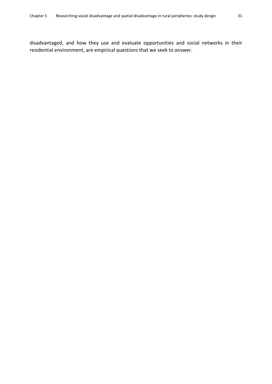disadvantaged, and how they use and evaluate opportunities and social networks in their residential environment, are empirical questions that we seek to answer.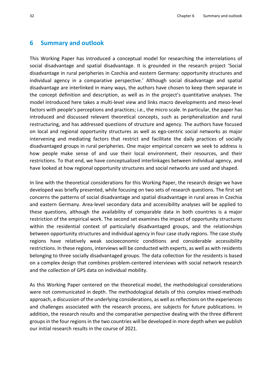#### <span id="page-39-0"></span>**6 Summary and outlook**

This Working Paper has introduced a conceptual model for researching the interrelations of social disadvantage and spatial disadvantage. It is grounded in the research project 'Social disadvantage in rural peripheries in Czechia and eastern Germany: opportunity structures and individual agency in a comparative perspective.' Although social disadvantage and spatial disadvantage are interlinked in many ways, the authors have chosen to keep them separate in the concept definition and description, as well as in the project's quantitative analyses. The model introduced here takes a multi-level view and links macro developments and meso-level factors with people's perceptions and practices; i.e., the micro scale. In particular, the paper has introduced and discussed relevant theoretical concepts, such as peripheralization and rural restructuring, and has addressed questions of structure and agency. The authors have focused on local and regional opportunity structures as well as ego-centric social networks as major intervening and mediating factors that restrict and facilitate the daily practices of socially disadvantaged groups in rural peripheries. One major empirical concern we seek to address is how people make sense of and use their local environment, their resources, and their restrictions. To that end, we have conceptualized interlinkages between individual agency, and have looked at how regional opportunity structures and social networks are used and shaped.

In line with the theoretical considerations for this Working Paper, the research design we have developed was briefly presented, while focusing on two sets of research questions. The first set concerns the patterns of social disadvantage and spatial disadvantage in rural areas in Czechia and eastern Germany. Area-level secondary data and accessibility analyses will be applied to these questions, although the availability of comparable data in both countries is a major restriction of the empirical work. The second set examines the impact of opportunity structures within the residential context of particularly disadvantaged groups, and the relationships between opportunity structures and individual agency in four case study regions. The case study regions have relatively weak socioeconomic conditions and considerable accessibility restrictions. In these regions, interviews will be conducted with experts, as well as with residents belonging to three socially disadvantaged groups. The data collection for the residents is based on a complex design that combines problem-centered interviews with social network research and the collection of GPS data on individual mobility.

As this Working Paper centered on the theoretical model, the methodological considerations were not communicated in depth. The methodological details of this complex mixed-methods approach, a discussion of the underlying considerations, as well as reflections on the experiences and challenges associated with the research process, are subjects for future publications. In addition, the research results and the comparative perspective dealing with the three different groups in the four regions in the two countries will be developed in more depth when we publish our initial research results in the course of 2021.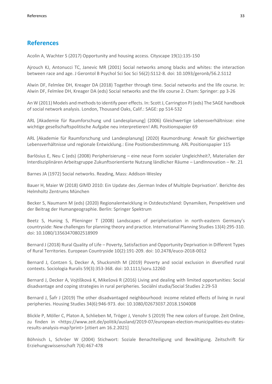#### <span id="page-40-0"></span>**References**

Acolin A, Wachter S (2017) Opportunity and housing access. Cityscape 19(1):135-150

Ajrouch KJ, Antonucci TC, Janevic MR (2001) Social networks among blacks and whites: the interaction between race and age. J Gerontol B Psychol Sci Soc Sci 56(2):S112-8. doi: 10.1093/geronb/56.2.S112

Alwin DF, Felmlee DH, Kreager DA (2018) Together through time. Social networks and the life course. In: Alwin DF, Felmlee DH, Kreager DA (eds) Social networks and the life course 2. Cham: Springer: pp 3-26

An W (2011) Models and methods to identify peer effects. In: Scott J, Carrington PJ (eds) The SAGE handbook of social network analysis. London, Thousand Oaks, Calif.: SAGE: pp 514-532

ARL [Akademie für Raumforschung und Landesplanung] (2006) Gleichwertige Lebensverhältnisse: eine wichtige gesellschaftspolitische Aufgabe neu interpretieren! ARL Positionspapier 69

ARL [Akademie für Raumforschung und Landesplanung] (2020) Raumordnung: Anwalt für gleichwertige Lebensverhältnisse und regionale Entwicklung.: Eine Positionsbestimmung. ARL Positionspapier 115

Barlösius E, Neu C (eds) (2008) Peripherisierung – eine neue Form sozialer Ungleichheit?, Materialien der Interdisziplinären Arbeitsgruppe Zukunftsorientierte Nutzung ländlicher Räume – LandInnovation – Nr. 21

Barnes JA (1972) Social networks. Reading, Mass: Addison-Wesley

Bauer H, Maier W (2018) GIMD 2010: Ein Update des 'German Index of Multiple Deprivation'. Berichte des Helmholtz Zentrums München

Becker S, Naumann M (eds) (2020) Regionalentwicklung in Ostdeutschland: Dynamiken, Perspektiven und der Beitrag der Humangeographie. Berlin: Springer Spektrum

Beetz S, Huning S, Plieninger T (2008) Landscapes of peripherization in north-eastern Germany's countryside: New challenges for planning theory and practice. International Planning Studies 13(4):295-310. doi: 10.1080/13563470802518909

Bernard J (2018) Rural Quality of Life – Poverty, Satisfaction and Opportunity Deprivation in Different Types of Rural Territories. European Countryside 10(2):191-209. doi: 10.2478/euco-2018-0012

Bernard J, Contzen S, Decker A, Shucksmith M (2019) Poverty and social exclusion in diversified rural contexts. Sociologia Ruralis 59(3):353-368. doi: 10.1111/soru.12260

Bernard J, Decker A, Vojtíšková K, Mikešová R (2016) Living and dealing with limited opportunities: Social disadvantage and coping strategies in rural peripheries. Sociální studia/Social Studies 2:29-53

Bernard J, Šafr J (2019) The other disadvantaged neighbourhood: income related effects of living in rural peripheries. Housing Studies 34(6):946-973. doi: 10.1080/02673037.2018.1504008

Blickle P, Möller C, Platon A, Schlieben M, Tröger J, Venohr S (2019) The new colors of Europe. Zeit Online, zu finden in <https://www.zeit.de/politik/ausland/2019-07/european-election-municipalities-eu-statesresults-analysis-map?print> [zitiert am 16.2.2021]

Böhnisch L, Schröer W (2004) Stichwort: Soziale Benachteiligung und Bewältigung. Zeitschrift für Erziehungswissenschaft 7(4):467-478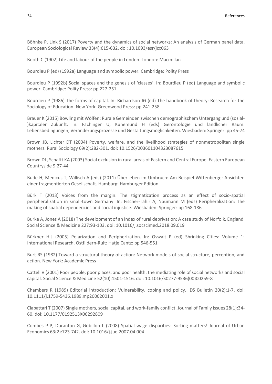Böhnke P, Link S (2017) Poverty and the dynamics of social networks: An analysis of German panel data. European Sociological Review 33(4):615-632. doi: 10.1093/esr/jcx063

Booth C (1902) Life and labour of the people in London. London: Macmillan

Bourdieu P (ed) (1992a) Language and symbolic power. Cambridge: Polity Press

Bourdieu P (1992b) Social spaces and the genesis of 'classes'. In: Bourdieu P (ed) Language and symbolic power. Cambridge: Polity Press: pp 227-251

Bourdieu P (1986) The forms of capital. In: Richardson JG (ed) The handbook of theory: Research for the Sociology of Education. New York: Greenwood Press: pp 241-258

Brauer K (2015) Bowling mit Wölfen: Rurale Gemeinden zwischen demographischem Untergang und (sozial- )kapitaler Zukunft. In: Fachinger U, Künemund H (eds) Gerontologie und ländlicher Raum: Lebensbedingungen, Veränderungsprozesse und Gestaltungsmöglichkeiten. Wiesbaden: Springer: pp 45-74

Brown JB, Lichter DT (2004) Poverty, welfare, and the livelihood strategies of nonmetropolitan single mothers. Rural Sociology 69(2):282-301. doi: 10.1526/003601104323087615

Brown DL, Schafft KA (2003) Social exclusion in rural areas of Eastern and Central Europe. Eastern European Countryside 9:27-44

Bude H, Medicus T, Willisch A (eds) (2011) ÜberLeben im Umbruch: Am Beispiel Wittenberge: Ansichten einer fragmentierten Gesellschaft. Hamburg: Hamburger Edition

Bürk T (2013) Voices from the margin: The stigmatization process as an effect of socio-spatial peripheralization in small-town Germany. In: Fischer-Tahir A, Naumann M (eds) Peripheralization: The making of spatial dependencies and social injustice. Wiesbaden: Springer: pp 168-186

Burke A, Jones A (2018) The development of an index of rural deprivation: A case study of Norfolk, England. Social Science & Medicine 227:93-103. doi: 10.1016/j.socscimed.2018.09.019

Bürkner H-J (2005) Polarization and Peripherization. In: Oswalt P (ed) Shrinking Cities: Volume 1: International Research. Ostfildern-Ruit: Hatje Cantz: pp 546-551

Burt RS (1982) Toward a structural theory of action: Network models of social structure, perception, and action. New York: Academic Press

Cattell V (2001) Poor people, poor places, and poor health: the mediating role of social networks and social capital. Social Science & Medicine 52(10):1501-1516. doi: 10.1016/S0277-9536(00)00259-8

Chambers R (1989) Editorial introduction: Vulnerability, coping and policy. IDS Bulletin 20(2):1-7. doi: 10.1111/j.1759-5436.1989.mp20002001.x

Ciabattari T (2007) Single mothers, social capital, and work-family conflict. Journal of Family Issues 28(1):34- 60. doi: 10.1177/0192513X06292809

Combes P-P, Duranton G, Gobillon L (2008) Spatial wage disparities: Sorting matters! Journal of Urban Economics 63(2):723-742. doi: 10.1016/j.jue.2007.04.004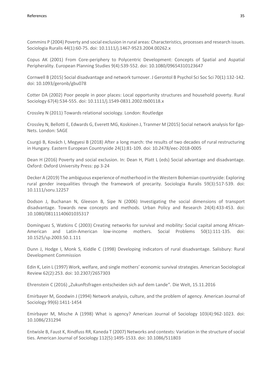Commins P (2004) Poverty and social exclusion in rural areas: Characteristics, processes and research issues. Sociologia Ruralis 44(1):60-75. doi: 10.1111/j.1467-9523.2004.00262.x

Copus AK (2001) From Core-periphery to Polycentric Development: Concepts of Spatial and Aspatial Peripherality. European Planning Studies 9(4):539-552. doi: 10.1080/09654310123647

Cornwell B (2015) Social disadvantage and network turnover. J Gerontol B Psychol Sci Soc Sci 70(1):132-142. doi: 10.1093/geronb/gbu078

Cotter DA (2002) Poor people in poor places: Local opportunity structures and household poverty. Rural Sociology 67(4):534-555. doi: 10.1111/j.1549-0831.2002.tb00118.x

Crossley N (2011) Towards relational sociology. London: Routledge

Crossley N, Bellotti E, Edwards G, Everett MG, Koskinen J, Tranmer M (2015) Social network analysis for Ego-Nets. London: SAGE

Csurgó B, Kovách I, Megyesi B (2018) After a long march: the results of two decades of rural restructuring in Hungary. Eastern European Countryside 24(1):81-109. doi: 10.2478/eec-2018-0005

Dean H (2016) Poverty and social exclusion. In: Dean H, Platt L (eds) Social advantage and disadvantage. Oxford: Oxford University Press: pp 3-24

Decker A (2019) The ambiguous experience of motherhood in the Western Bohemian countryside: Exploring rural gender inequalities through the framework of precarity. Sociologia Ruralis 59(3):517-539. doi: 10.1111/soru.12257

Dodson J, Buchanan N, Gleeson B, Sipe N (2006) Investigating the social dimensions of transport disadvantage. Towards new concepts and methods. Urban Policy and Research 24(4):433-453. doi: 10.1080/08111140601035317

Domínguez S, Watkins C (2003) Creating networks for survival and mobility: Social capital among African-American and Latin-American low-income mothers. Social Problems 50(1):111-135. doi: 10.1525/sp.2003.50.1.111

Dunn J, Hodge I, Monk S, Kiddle C (1998) Developing indicators of rural disadvantage. Salisbury: Rural Development Commission

Edin K, Lein L (1997) Work, welfare, and single mothers' economic survival strategies. American Sociological Review 62(2):253. doi: 10.2307/2657303

Ehrenstein C (2016) "Zukunftsfragen entscheiden sich auf dem Lande". Die Welt, 15.11.2016

Emirbayer M, Goodwin J (1994) Network analysis, culture, and the problem of agency. American Journal of Sociology 99(6):1411-1454

Emirbayer M, Mische A (1998) What is agency? American Journal of Sociology 103(4):962-1023. doi: 10.1086/231294

Entwisle B, Faust K, Rindfuss RR, Kaneda T (2007) Networks and contexts: Variation in the structure of social ties. American Journal of Sociology 112(5):1495-1533. doi: 10.1086/511803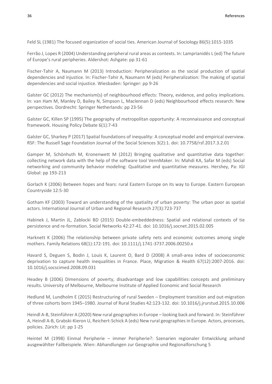Feld SL (1981) The focused organization of social ties. American Journal of Sociology 86(5):1015-1035

Ferrão J, Lopes R (2004) Understanding peripheral rural areas as contexts. In: Lamprianidēs L (ed) The future of Europe's rural peripheries. Aldershot: Ashgate: pp 31-61

Fischer-Tahir A, Naumann M (2013) Introduction: Peripheralization as the social production of spatial dependencies and injustice. In: Fischer-Tahir A, Naumann M (eds) Peripheralization: The making of spatial dependencies and social injustice. Wiesbaden: Springer: pp 9-26

Galster GC (2012) The mechanism(s) of neighbourhood effects: Theory, evidence, and policy implications. In: van Ham M, Manley D, Bailey N, Simpson L, Maclennan D (eds) Neighbourhood effects research: New perspectives. Dordrecht: Springer Netherlands: pp 23-56

Galster GC, Killen SP (1995) The geography of metropolitan opportunity: A reconnaissance and conceptual framework. Housing Policy Debate 6(1):7-43

Galster GC, Sharkey P (2017) Spatial foundations of inequality: A conceptual model and empirical overview. RSF: The Russell Sage Foundation Journal of the Social Sciences 3(2):1. doi: 10.7758/rsf.2017.3.2.01

Gamper M, Schönhuth M, Kronenwett M (2012) Bringing qualitative and quantitative data together: collecting network data with the help of the software tool VennMaker. In: Mahdi KA, Safar M (eds) Social networking and community behavior modeling: Qualitative and quantitative measures. Hershey, Pa: IGI Global: pp 193-213

Gorlach K (2006) Between hopes and fears: rural Eastern Europe on its way to Europe. Eastern European Countryside 12:5-30

Gotham KF (2003) Toward an understanding of the spatiality of urban poverty: The urban poor as spatial actors. International Journal of Urban and Regional Research 27(3):723-737

Habinek J, Martin JL, Zablocki BD (2015) Double-embeddedness: Spatial and relational contexts of tie persistence and re-formation. Social Networks 42:27-41. doi: 10.1016/j.socnet.2015.02.005

Harknett K (2006) The relationship between private safety nets and economic outcomes among single mothers. Family Relations 68(1):172-191. doi: 10.1111/j.1741-3737.2006.00250.x

Havard S, Deguen S, Bodin J, Louis K, Laurent O, Bard D (2008) A small-area index of socioeconomic deprivation to capture health inequalities in France. Place, Migration & Health 67(12):2007-2016. doi: 10.1016/j.socscimed.2008.09.031

Headey B (2006) Dimensions of poverty, disadvantage and low capabilities: concepts and preliminary results. University of Melbourne, Melbourne Institute of Applied Economic and Social Research

Hedlund M, Lundholm E (2015) Restructuring of rural Sweden – Employment transition and out-migration of three cohorts born 1945–1980. Journal of Rural Studies 42:123-132. doi: 10.1016/j.jrurstud.2015.10.006

Heindl A-B, Steinführer A (2020) New rural geographies in Europe – looking back and forward. In: Steinführer A, Heindl A-B, Grabski-Kieron U, Reichert-Schick A (eds) New rural geographies in Europe. Actors, processes, policies. Zürich: Lit: pp 1-25

Heintel M (1998) Einmal Peripherie – immer Peripherie?: Szenarien regionaler Entwicklung anhand ausgewählter Fallbeispiele. Wien: Abhandlungen zur Geographie und Regionalforschung 5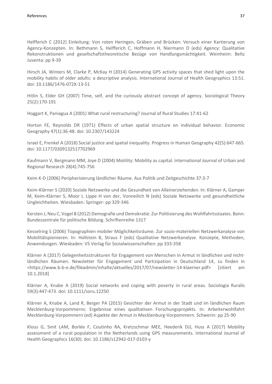Helfferich C (2012) Einleitung: Von roten Heringen, Gräben und Brücken: Versuch einer Kartierung von Agency-Konzepten. In: Bethmann S, Helfferich C, Hoffmann H, Niermann D (eds) Agency: Qualitative Rekonstruktionen und gesellschaftstheoretische Bezüge von Handlungsmächtigkeit. Weinheim: Beltz Juventa: pp 9-39

Hirsch JA, Winters M, Clarke P, McKay H (2014) Generating GPS activity spaces that shed light upon the mobility habits of older adults: a descriptive analysis. International Journal of Health Geographics 13:51. doi: 10.1186/1476-072X-13-51

Hitlin S, Elder GH (2007) Time, self, and the curiously abstract concept of agency. Sociological Theory 25(2):170-191

Hoggart K, Paniagua A (2001) What rural restructuring? Journal of Rural Studies 17:41-62

Horton FE, Reynolds DR (1971) Effects of urban spatial structure on individual behavior. Economic Geography 47(1):36-48. doi: 10.2307/143224

Israel E, Frenkel A (2018) Social justice and spatial inequality. Progress in Human Geography 42(5):647-665. doi: 10.1177/0309132517702969

Kaufmann V, Bergmann MM, Joye D (2004) Motility: Mobility as capital. International Journal of Urban and Regional Research 28(4):745-756

Keim K-D (2006) Peripherisierung ländlicher Räume. Aus Politik und Zeitgeschichte 37:3-7

Keim-Klärner S (2020) Soziale Netzwerke und die Gesundheit von Alleinerziehenden. In: Klärner A, Gamper M, Keim-Klärner S, Moor I, Lippe H von der, Vonneilich N (eds) Soziale Netzwerke und gesundheitliche Ungleichheiten. Wiesbaden: Springer: pp 329-346

Kersten J, Neu C, Vogel B (2012) Demografie und Demokratie: Zur Politisierung des Wohlfahrtsstaates. Bonn: Bundeszentrale für politische Bildung. Schriftenreihe 1317

Kesselring S (2006) Topographien mobiler Möglichkeitsräume. Zur sozio-materiellen Netzwerkanalyse von Mobilitätspionieren. In: Hollstein B, Straus F (eds) Qualitative Netzwerkanalyse. Konzepte, Methoden, Anwendungen. Wiesbaden: VS Verlag für Sozialwissenschaften: pp 333-358

Klärner A (2017) Gelegenheitsstrukturen für Engagement von Menschen in Armut in ländlichen und nichtländlichen Räumen. Newsletter für Engagement und Partizipation in Deutschland 14, zu finden in <https://www.b-b-e.de/fileadmin/inhalte/aktuelles/2017/07/newsletter-14-klaerner.pdf> [zitiert am 10.1.2018]

Klärner A, Knabe A (2019) Social networks and coping with poverty in rural areas. Sociologia Ruralis 59(3):447-473. doi: 10.1111/soru.12250

Klärner A, Knabe A, Land R, Berger PA (2015) Gesichter der Armut in der Stadt und im ländlichen Raum Mecklenburg-Vorpommerns: Ergebnisse eines qualitativen Forschungsprojekts. In: Arbeiterwohlfahrt Mecklenburg-Vorpommern (ed) Aspekte der Armut in Mecklenburg-Vorpommern. Schwerin: pp 25-90

Klous G, Smit LAM, Borlée F, Coutinho RA, Kretzschmar MEE, Heederik DJJ, Huss A (2017) Mobility assessment of a rural population in the Netherlands using GPS measurements. International Journal of Health Geographics 16(30). doi: 10.1186/s12942-017-0103-y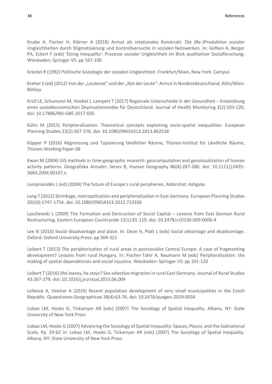Knabe A, Fischer H, Klärner A (2018) Armut als relationales Konstrukt: Die (Re-)Produktion sozialer Ungleichheiten durch Stigmatisierung und Kontrollversuche in sozialen Netzwerken. In: Gefken A, Berger PA, Eckert F (eds) 'Doing Inequality': Prozesse sozialer Ungleichheit im Blick qualitativer Sozialforschung. Wiesbaden: Springer VS: pp 167-190

Kreckel R (1992) Politische Soziologie der sozialen Ungleichheit. Frankfurt/Main, New York: Campus

Kreher S (ed) (2012) Von der "Leutenot" und der "Not der Leute": Armut in Nordostdeutschland. Köln/Wien: Böhlau

Kroll LE, Schumann M, Hoebel J, Lampert T (2017) Regionale Unterschiede in der Gesundheit – Entwicklung eines sozioökonomischen Deprivationsindex für Deutschland. Journal of Health Monitoring 2(2):103-120. doi: 10.17886/RKI-GBE-2017-035

Kühn M (2015) Peripheralization: Theoretical concepts explaining socio-spatial inequalities. European Planning Studies 23(2):367-378. doi: 10.1080/09654313.2013.862518

Küpper P (2016) Abgrenzung und Typisierung ländlicher Räume, Thünen-Institut für Ländliche Räume, Thünen Working Paper 68

Kwan M (2004) GIS methods in time‐geographic research: geocomputation and geovisualization of human activity patterns. Geografiska Annaler: Series B, Human Geography 86(4):267-280. doi: 10.1111/j.0435- 3684.2004.00167.x

Lamprianidēs L (ed) (2004) The future of Europe's rural peripheries. Aldershot: Ashgate.

Lang T (2012) Shrinkage, metropolization and peripheralization in East Germany. European Planning Studies 20(10):1747-1754. doi: 10.1080/09654313.2012.713336

Laschewski L (2009) The Formation and Destruction of Social Capital – Lessons from East German Rural Restructuring. Eastern European Countryside 15(1):91-110. doi: 10.2478/v10130-009-0006-4

Lee N (2016) Social disadvantage and place. In: Dean H, Platt L (eds) Social advantage and disadvantage. Oxford: Oxford University Press: pp 304-321

Leibert T (2013) The peripherisation of rural areas in postsocialist Central Europe: A case of fragmenting development? Lessons from rural Hungary. In: Fischer-Tahir A, Naumann M (eds) Peripheralization: the making of spatial dependencies and social injustice. Wiesbaden: Springer VS: pp 101-120

Leibert T (2016) She leaves, he stays? Sex-selective migration in rural East Germany. Journal of Rural Studies 43:267-279. doi: 10.1016/j.jrurstud.2015.06.004

Lešková A, Vaishar A (2019) Recent population development of very small municipalities in the Czech Republic. Quaestiones Geographicae 38(4):63-76. doi: 10.2478/quageo-2019-0034

Lobao LM, Hooks G, Tickamyer AR (eds) (2007) The Sociology of Spatial Inequality. Albany, NY: State University of New York Press

Lobao LM, Hooks G (2007) Advancing the Sociology of Spatial Inequality: Spaces, Places, and the Subnational Scale, Pp. 29-62 in: Lobao LM, Hooks G, Tickamyer AR (eds) (2007) The Sociology of Spatial Inequality. Albany, NY: State University of New York Press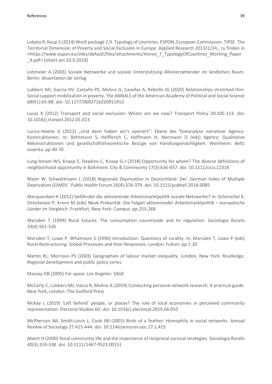Lobata R, Kaup S (2014) Work package 2.9. Typology of countries. ESPON, European Commission. TiPSE. The Territorial Dimension of Poverty and Social Exclusion in Europe. Applied Research 2013/1/24., zu finden in <https://www.espon.eu/sites/default/files/attachments/Annex\_7\_TypologyOfCountries\_Working\_Paper \_9.pdf> [zitiert am 10.9.2019]

Lohmeier A (2003) Soziale Netzwerke und soziale Unterstützung Alleinerziehender im ländlichen Raum. Berlin: dissertation.de Verlag

Lubbers MJ, García HV, Castaño PE, Molina JL, Casellas A, Rebollo JG (2020) Relationships stretched thin: Social support mobilization in poverty. The ANNALS of the American Academy of Political and Social Science 689(1):65-88. doi: 10.1177/0002716220911913

Lucas K (2012) Transport and social exclusion: Where are we now? Transport Policy 20:105-113. doi: 10.1016/j.tranpol.2012.01.013

Lucius-Hoene G (2012) "Und dann haben wir's operiert": Ebene der Textanalyse narrativer Agency-Konstruktionen. In: Bethmann S, Helfferich C, Hoffmann H, Niermann D (eds) Agency: Qualitative Rekonstruktionen und gesellschaftstheoretische Bezüge von Handlungsmächtigkeit. Weinheim: Beltz Juventa: pp 40-70

Lung-Amam WS, Knaap E, Dawkins C, Knaap G-J (2018) Opportunity for whom? The diverse definitions of neighborhood opportunity in Baltimore. City & Community 17(3):636-657. doi: 10.1111/cico.12318

Maier W, Schwettmann L (2018) Regionale Deprivation in Deutschland: Der 'German Index of Multiple Deprivation (GIMD)'. Public Health Forum 26(4):376-379. doi: 10.1515/pubhef-2018-0085

Marquardsen K (2012) Gefährdet die aktivierende Arbeitsmarktpolitik soziale Netzwerke? In: Scherschel K, Streckeisen P, Krenn M (eds) Neue Prekarität: Die Folgen aktivierender Arbeitsmarktpolitik – europäische Länder im Vergleich. Frankfurt, New York: Campus: pp 253-268

Marsden T (1999) Rural futures: The consumption countryside and its regulation. Sociologia Ruralis 39(4):501-526

Marsden T, Lowe P, Whatmore S (1990) Introduction: Questions of rurality. In: Marsden T, Lowe P (eds) Rural Restructuring: Global Processes and their Responses. London: Fulton: pp 1-20

Martin RL, Morrison PS (2003) Geographies of labour market inequality. London, New York: Routledge, Regional development and public policy series

Massey DB (2005) For space. Los Angeles: SAGE

McCarty C, Lubbers MJ, Vacca R, Molina JL (2019) Conducting personal network research: A practical guide. New York, London: The Guilford Press

McKay L (2019) 'Left behind' people, or places? The role of local economies in perceived community representation. Electoral Studies 60. doi: 10.1016/j.electstud.2019.04.010

McPherson JM, Smith-Lovin L, Cook JM (2001) Birds of a feather: Homophily in social networks. Annual Review of Sociology 27:415-444. doi: 10.1146/annurev.soc.27.1.415

Meert H (2000) Rural community life and the importance of reciprocal survival strategies. Sociologia Ruralis 40(3):319-338. doi: 10.1111/1467-9523.00151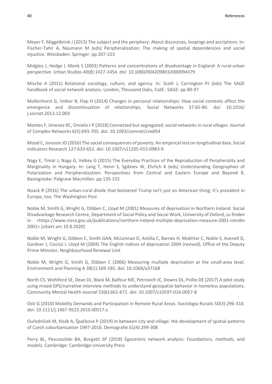Meyer F, Miggelbrink J (2013) The subject and the periphery: About discourses, loopings and ascriptions. In: Fischer-Tahir A, Naumann M (eds) Peripheralization: The making of spatial dependencies and social injustice. Wiesbaden: Springer: pp 207-223

Midgley J, Hodge I, Monk S (2003) Patterns and concentrations of disadvantage in England: A rural-urban perspective. Urban Studies 40(8):1427-1454. doi: 10.1080/0042098032000094379

Mische A (2011) Relational sociology, culture, and agency. In: Scott J, Carrington PJ (eds) The SAGE handbook of social network analysis. London, Thousand Oaks, Calif.: SAGE: pp 80-97

Mollenhorst G, Volker B, Flap H (2014) Changes in personal relationships: How social contexts affect the emergence and discontinuation of relationships. Social Networks 37:65-80. doi: 10.1016/ j.socnet.2013.12.003

Montes F, Jimenez RC, Onnela J-P (2018) Connected but segregated: social networks in rural villages. Journal of Complex Networks 6(5):693-705. doi: 10.1093/comnet/cnx054

Mood C, Jonsson JO (2016) The social consequences of poverty: An empirical test on longitudinal data. Social Indicators Research 127:633-652. doi: 10.1007/s11205-015-0983-9

Nagy E, Timár J, Nagy G, Velkey G (2015) The Everyday Practices of the Reproduction of Peripherality and Marginality in Hungary. In: Lang T, Henn S, Sgibnev W, Ehrlich K (eds) Understanding Geographies of Polarization and Peripheralization: Perspectives from Central and Eastern Europe and Beyond 8. Basingstoke: Palgrave Macmillan: pp 135-155

Noack R (2016) The urban-rural divide that bolstered Trump isn't just an American thing; it's prevalent in Europe, too. The Washington Post

Noble M, Smith G, Wright G, Dibben C, Lloyd M (2001) Measures of deprivation in Northern Ireland. Social Disadvantage Research Centre, Department of Social Policy and Social Work, University of Oxford, zu finden in <https://www.nisra.gov.uk/publications/northern-ireland-multiple-deprivation-measure-2001-nimdm 2001> [zitiert am 19.8.2020]

Noble M, Wright G, Dibben C, Smith GAN, McLennan D, Antilla C, Barnes H, Mokhtar C, Noble S, Avenell D, Gardner J, Covizzi I, Lloyd M (2004) The English indices of deprivation 2004 (revised), Office of the Deputy Prime Minister, Neighbourhood Renewal Unit

Noble M, Wright G, Smith G, Dibben C (2006) Measuring multiple deprivation at the small-area level. Environment and Planning A 38(1):169-185. doi: 10.1068/a37168

North CS, Wohlford SE, Dean DJ, Black M, Balfour ME, Petrovich JC, Downs DL, Pollio DE (2017) A pilot study using mixed GPS/narrative interview methods to understand geospatial behavior in homeless populations. Community Mental Health Journal 53(6):661-671. doi: 10.1007/s10597-016-0057-8

Osti G (2010) Mobility Demands and Participation in Remote Rural Areas. Sociologia Ruralis 50(3):296-310. doi: 10.1111/j.1467-9523.2010.00517.x

Ouředníček M, Klsák A, Špačková P (2019) In between city and village: the development of spatial patterns of Czech suburbanisation 1997-2016. Demografie 61(4):299-308

Perry BL, Pescosolido BA, Borgatti SP (2018) Egocentric network analysis: Foundations, methods, and models. Cambridge: Cambridge University Press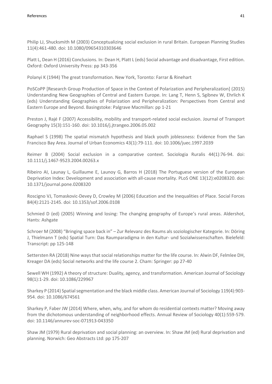Philip LJ, Shucksmith M (2003) Conceptualizing social exclusion in rural Britain. European Planning Studies 11(4):461-480. doi: 10.1080/09654310303646

Platt L, Dean H (2016) Conclusions. In: Dean H, Platt L (eds) Social advantage and disadvantage, First edition. Oxford: Oxford University Press: pp 343-356

Polanyi K (1944) The great transformation. New York, Toronto: Farrar & Rinehart

PoSCoPP [Research Group Production of Space in the Context of Polarization and Peripheralization] (2015) Understanding New Geographies of Central and Eastern Europe. In: Lang T, Henn S, Sgibnev W, Ehrlich K (eds) Understanding Geographies of Polarization and Peripheralization: Perspectives from Central and Eastern Europe and Beyond. Basingstoke: Palgrave Macmillan: pp 1-21

Preston J, Rajé F (2007) Accessibility, mobility and transport-related social exclusion. Journal of Transport Geography 15(3):151-160. doi: 10.1016/j.jtrangeo.2006.05.002

Raphael S (1998) The spatial mismatch hypothesis and black youth joblessness: Evidence from the San Francisco Bay Area. Journal of Urban Economics 43(1):79-111. doi: 10.1006/juec.1997.2039

Reimer B (2004) Social exclusion in a comparative context. Sociologia Ruralis 44(1):76-94. doi: 10.1111/j.1467-9523.2004.00263.x

Ribeiro AI, Launay L, Guillaume E, Launoy G, Barros H (2018) The Portuguese version of the European Deprivation Index: Development and association with all-cause mortality. PLoS ONE 13(12):e0208320. doi: 10.1371/journal.pone.0208320

Roscigno VJ, Tomaskovic-Devey D, Crowley M (2006) Education and the Inequalities of Place. Social Forces 84(4):2121-2145. doi: 10.1353/sof.2006.0108

Schmied D (ed) (2005) Winning and losing: The changing geography of Europe's rural areas. Aldershot, Hants: Ashgate

Schroer M (2008) "Bringing space back in" – Zur Relevanz des Raums als soziologischer Kategorie. In: Döring J, Thielmann T (eds) Spatial Turn: Das Raumparadigma in den Kultur- und Sozialwissenschaften. Bielefeld: Transcript: pp 125-148

Settersten RA (2018) Nine ways that social relationships matter for the life course. In: Alwin DF, Felmlee DH, Kreager DA (eds) Social networks and the life course 2. Cham: Springer: pp 27-40

Sewell WH (1992) A theory of structure: Duality, agency, and transformation. American Journal of Sociology 98(1):1-29. doi: 10.1086/229967

Sharkey P (2014) Spatial segmentation and the black middle class. American Journal of Sociology 119(4):903- 954. doi: 10.1086/674561

Sharkey P, Faber JW (2014) Where, when, why, and for whom do residential contexts matter? Moving away from the dichotomous understanding of neighborhood effects. Annual Review of Sociology 40(1):559-579. doi: 10.1146/annurev-soc-071913-043350

Shaw JM (1979) Rural deprivation and social planning: an overview. In: Shaw JM (ed) Rural deprivation and planning. Norwich: Geo Abstracts Ltd: pp 175-207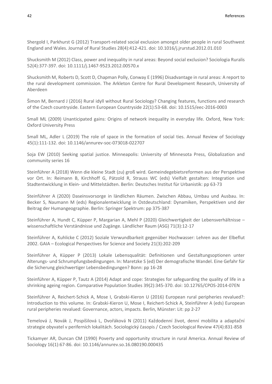Shergold I, Parkhurst G (2012) Transport-related social exclusion amongst older people in rural Southwest England and Wales. Journal of Rural Studies 28(4):412-421. doi: 10.1016/j.jrurstud.2012.01.010

Shucksmith M (2012) Class, power and inequality in rural areas: Beyond social exclusion? Sociologia Ruralis 52(4):377-397. doi: 10.1111/j.1467-9523.2012.00570.x

Shucksmith M, Roberts D, Scott D, Chapman Polly, Conway E (1996) Disadvantage in rural areas: A report to the rural development commission. The Arkleton Centre for Rural Development Research, University of Aberdeen

Šimon M, Bernard J (2016) Rural idyll without Rural Sociology? Changing features, functions and research of the Czech countryside. Eastern European Countryside 22(1):53-68. doi: 10.1515/eec-2016-0003

Small ML (2009) Unanticipated gains: Origins of network inequality in everyday life. Oxford, New York: Oxford University Press

Small ML, Adler L (2019) The role of space in the formation of social ties. Annual Review of Sociology 45(1):111-132. doi: 10.1146/annurev-soc-073018-022707

Soja EW (2010) Seeking spatial justice. Minneapolis: University of Minnesota Press, Globalization and community series 16

Steinführer A (2018) Wenn die kleine Stadt (zu) groß wird. Gemeindegebietsreformen aus der Perspektive vor Ort. In: Reimann B, Kirchhoff G, Pätzold R, Strauss WC (eds) Vielfalt gestalten: Integration und Stadtentwicklung in Klein- und Mittelstädten. Berlin: Deutsches Institut für Urbanistik: pp 63-73

Steinführer A (2020) Daseinsvorsorge in ländlichen Räumen. Zwischen Abbau, Umbau und Ausbau. In: Becker S, Naumann M (eds) Regionalentwicklung in Ostdeutschland: Dynamiken, Perspektiven und der Beitrag der Humangeographie. Berlin: Springer Spektrum: pp 375-387

Steinführer A, Hundt C, Küpper P, Margarian A, Mehl P (2020) Gleichwertigkeit der Lebensverhältnisse – wissenschaftliche Verständnisse und Zugänge. Ländlicher Raum (ASG) 71(3):12-17

Steinführer A, Kuhlicke C (2012) Soziale Verwundbarkeit gegenüber Hochwasser: Lehren aus der Elbeflut 2002. GAIA – Ecological Perspectives for Science and Society 21(3):202-209

Steinführer A, Küpper P (2013) Lokale Lebensqualität: Definitionen und Gestaltungsoptionen unter Alterungs- und Schrumpfungsbedingungen. In: Maretzke S (ed) Der demografische Wandel. Eine Gefahr für die Sicherung gleichwertiger Lebensbedingungen? Bonn: pp 16-28

Steinführer A, Küpper P, Tautz A (2014) Adapt and cope: Strategies for safeguarding the quality of life in a shrinking ageing region. Comparative Population Studies 39(2):345-370. doi: 10.12765/CPOS-2014-07EN

Steinführer A, Reichert-Schick A, Mose I, Grabski-Kieron U (2016) European rural peripheries revalued?: Introduction to this volume. In: Grabski-Kieron U, Mose I, Reichert-Schick A, Steinführer A (eds) European rural peripheries revalued: Governance, actors, impacts. Berlin, Münster: Lit: pp 2-27

Temelová J, Novák J, Pospíšilová L, Dvořáková N (2011) Každodenní život, denní mobilita a adaptační strategie obyvatel v periferních lokalitách. Sociologický časopis / Czech Sociological Review 47(4):831-858

Tickamyer AR, Duncan CM (1990) Poverty and opportunity structure in rural America. Annual Review of Sociology 16(1):67-86. doi: 10.1146/annurev.so.16.080190.000435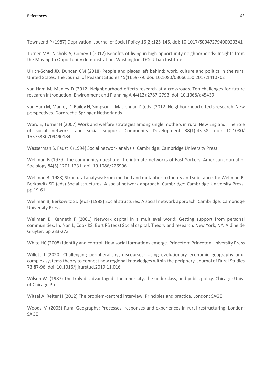Townsend P (1987) Deprivation. Journal of Social Policy 16(2):125-146. doi: 10.1017/S0047279400020341

Turner MA, Nichols A, Comey J (2012) Benefits of living in high opportunity neighborhoods: Insights from the Moving to Opportunity demonstration, Washington, DC: Urban Institute

Ulrich-Schad JD, Duncan CM (2018) People and places left behind: work, culture and politics in the rural United States. The Journal of Peasant Studies 45(1):59-79. doi: 10.1080/03066150.2017.1410702

van Ham M, Manley D (2012) Neighbourhood effects research at a crossroads. Ten challenges for future research introduction. Environment and Planning A 44(12):2787-2793. doi: 10.1068/a45439

van Ham M, Manley D, Bailey N, Simpson L, Maclennan D (eds) (2012) Neighbourhood effects research: New perspectives. Dordrecht: Springer Netherlands

Ward S, Turner H (2007) Work and welfare strategies among single mothers in rural New England: The role of social networks and social support. Community Development 38(1):43-58. doi: 10.1080/ 15575330709490184

Wasserman S, Faust K (1994) Social network analysis. Cambridge: Cambridge University Press

Wellman B (1979) The community question: The intimate networks of East Yorkers. American Journal of Sociology 84(5):1201-1231. doi: 10.1086/226906

Wellman B (1988) Structural analysis: From method and metaphor to theory and substance. In: Wellman B, Berkowitz SD (eds) Social structures: A social network approach. Cambridge: Cambridge University Press: pp 19-61

Wellman B, Berkowitz SD (eds) (1988) Social structures: A social network approach. Cambridge: Cambridge University Press

Wellman B, Kenneth F (2001) Network capital in a multilevel world: Getting support from personal communities. In: Nan L, Cook KS, Burt RS (eds) Social capital: Theory and research. New York, NY: Aldine de Gruyter: pp 233-273

White HC (2008) Identity and control: How social formations emerge. Princeton: Princeton University Press

Willett J (2020) Challenging peripheralising discourses: Using evolutionary economic geography and, complex systems theory to connect new regional knowledges within the periphery. Journal of Rural Studies 73:87-96. doi: 10.1016/j.jrurstud.2019.11.016

Wilson WJ (1987) The truly disadvantaged: The inner city, the underclass, and public policy. Chicago: Univ. of Chicago Press

Witzel A, Reiter H (2012) The problem-centred interview: Principles and practice. London: SAGE

Woods M (2005) Rural Geography: Processes, responses and experiences in rural restructuring, London: SAGE